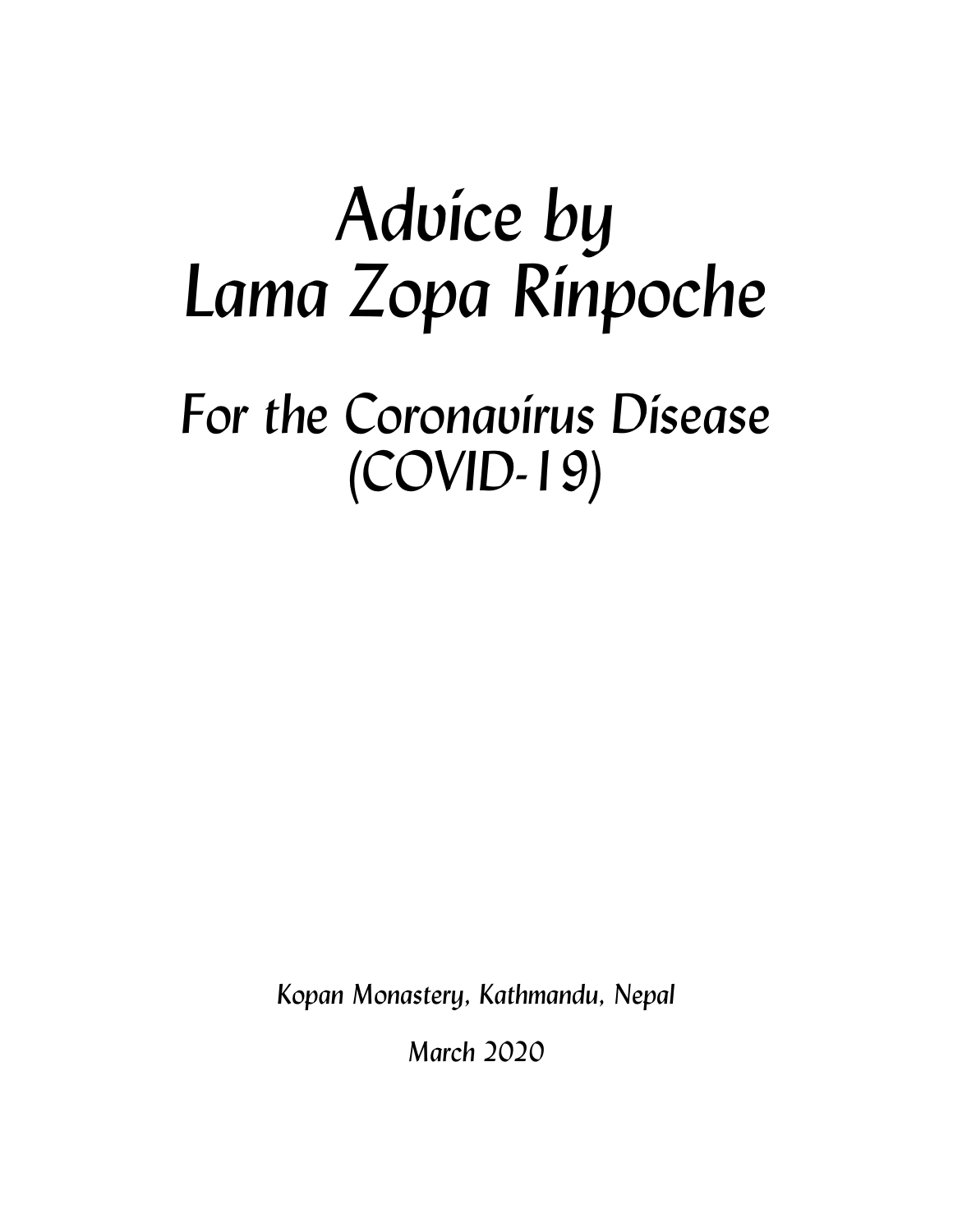# *Advice by Lama Zopa Rinpoche*

*For the Coronavirus Disease (COVID-19)* 

*Kopan Monastery, Kathmandu, Nepal*

*March 2020*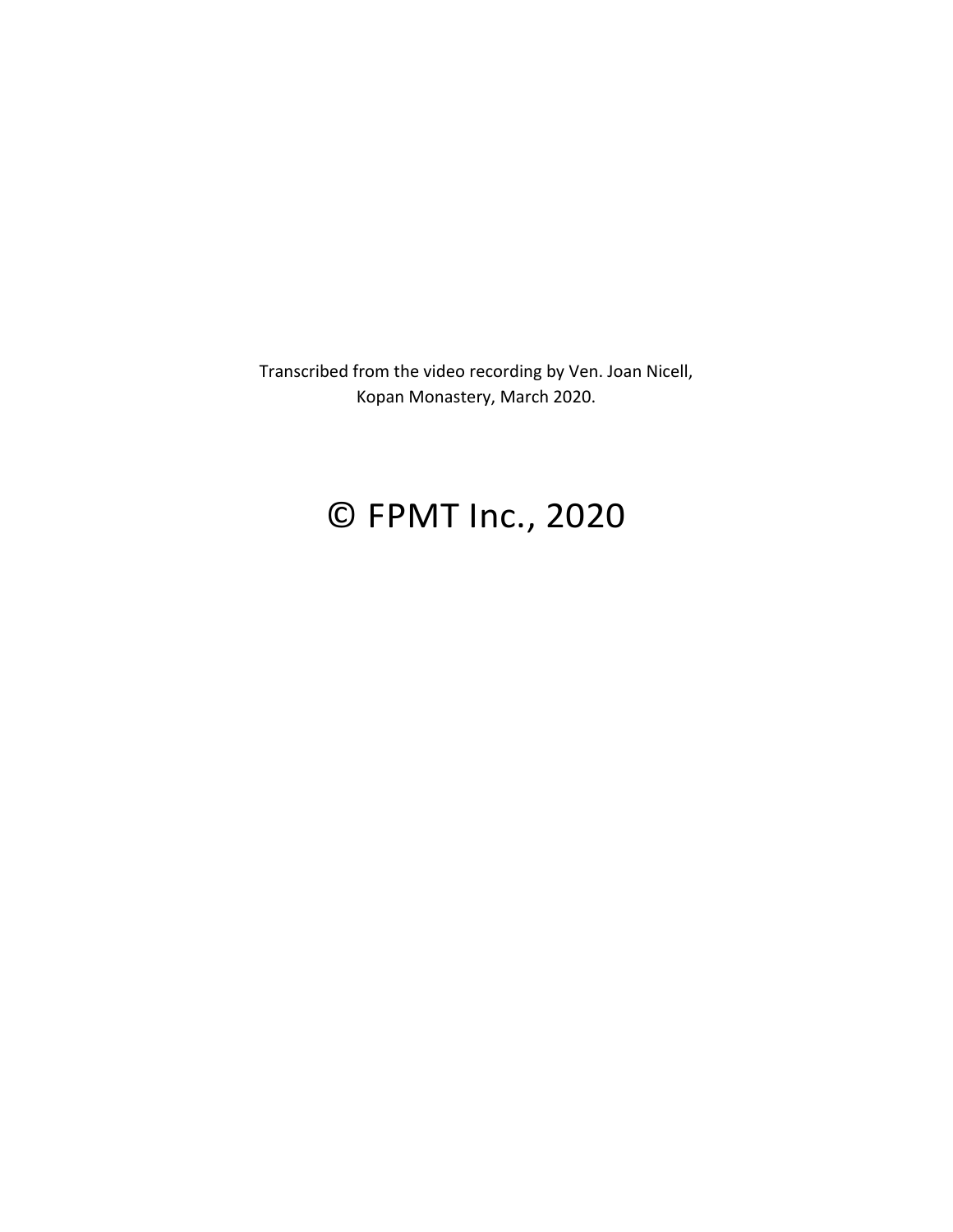Transcribed from the video recording by Ven. Joan Nicell, Kopan Monastery, March 2020.

# © FPMT Inc., 2020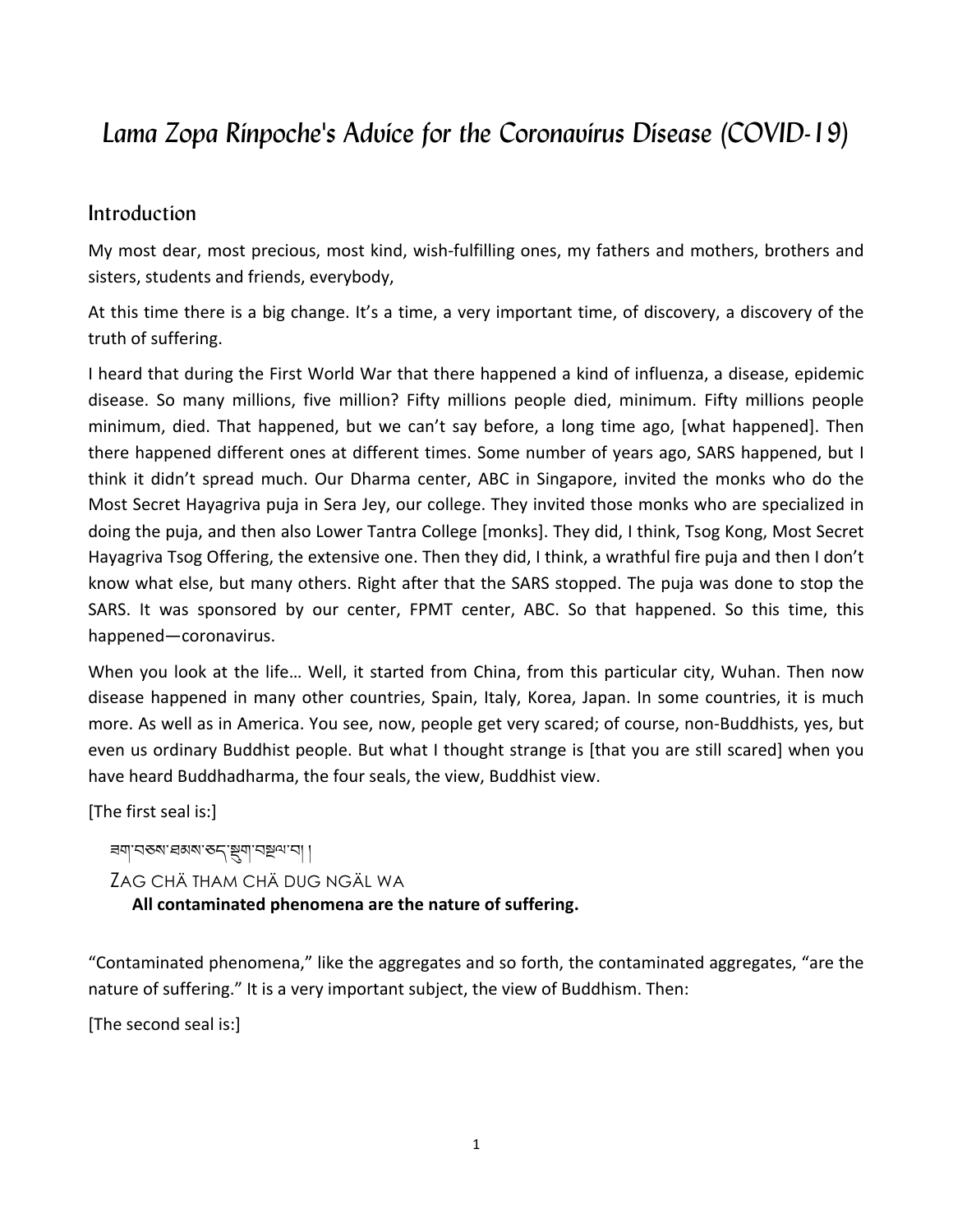# *Lama Zopa Rinpoche's Advice for the Coronavirus Disease (COVID-19)*

#### Introduction

My most dear, most precious, most kind, wish-fulfilling ones, my fathers and mothers, brothers and sisters, students and friends, everybody,

At this time there is a big change. It's a time, a very important time, of discovery, a discovery of the truth of suffering.

I heard that during the First World War that there happened a kind of influenza, a disease, epidemic disease. So many millions, five million? Fifty millions people died, minimum. Fifty millions people minimum, died. That happened, but we can't say before, a long time ago, [what happened]. Then there happened different ones at different times. Some number of years ago, SARS happened, but I think it didn't spread much. Our Dharma center, ABC in Singapore, invited the monks who do the Most Secret Hayagriva puja in Sera Jey, our college. They invited those monks who are specialized in doing the puja, and then also Lower Tantra College [monks]. They did, I think, Tsog Kong, Most Secret Hayagriva Tsog Offering, the extensive one. Then they did, I think, a wrathful fire puja and then I don't know what else, but many others. Right after that the SARS stopped. The puja was done to stop the SARS. It was sponsored by our center, FPMT center, ABC. So that happened. So this time, this happened—coronavirus. 

When you look at the life... Well, it started from China, from this particular city, Wuhan. Then now disease happened in many other countries, Spain, Italy, Korea, Japan. In some countries, it is much more. As well as in America. You see, now, people get very scared; of course, non-Buddhists, yes, but even us ordinary Buddhist people. But what I thought strange is [that you are still scared] when you have heard Buddhadharma, the four seals, the view, Buddhist view.

[The first seal is:]

ন্ননা'নতম'ন্নমম'তন্' স্থ্ৰনা'নস্থন'না | ZAG CHÄ THAM CHÄ DUG NGÄL WA All contaminated phenomena are the nature of suffering.

"Contaminated phenomena," like the aggregates and so forth, the contaminated aggregates, "are the nature of suffering." It is a very important subject, the view of Buddhism. Then:

[The second seal is:]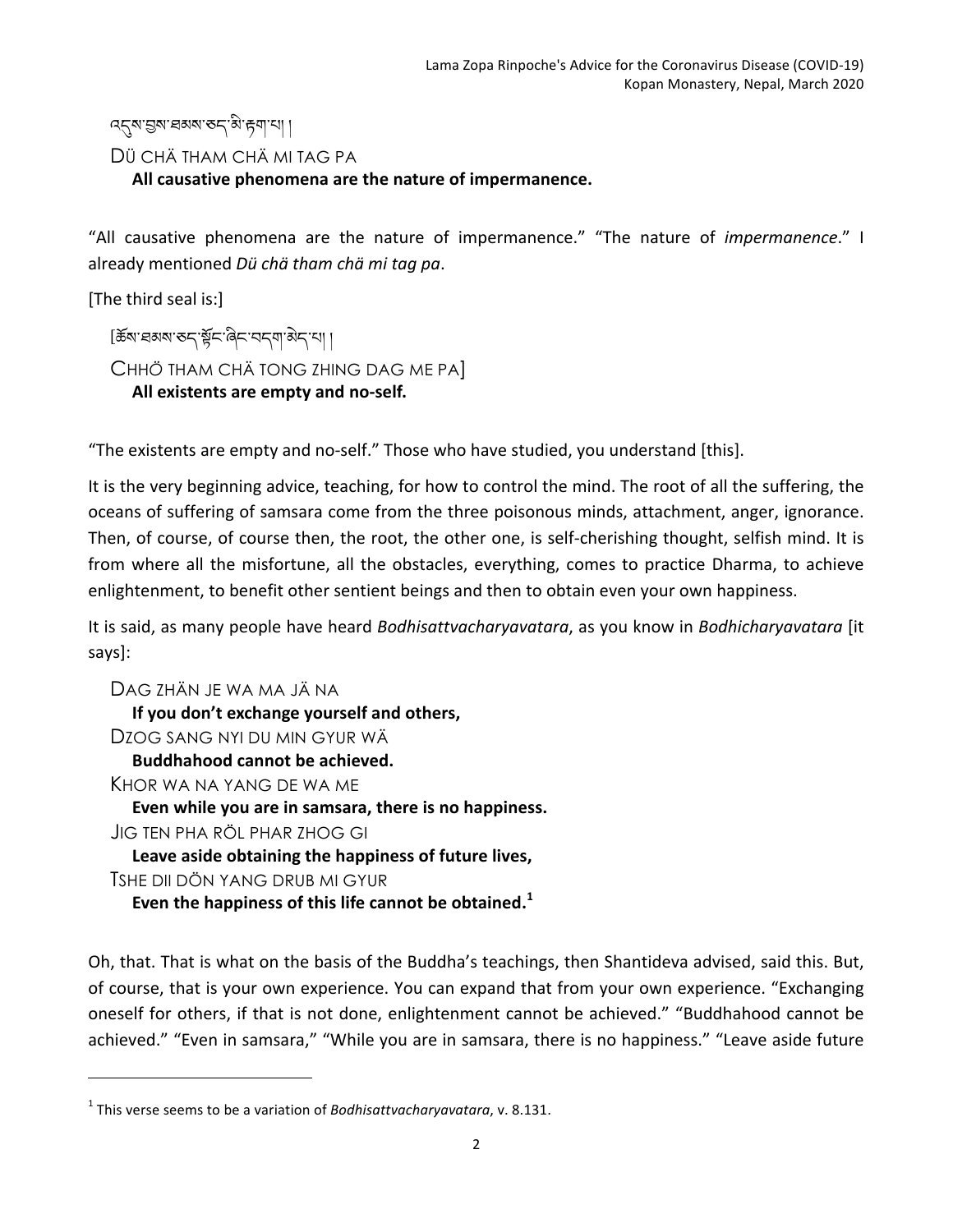# ৭८४: इत्राञ्चा हिंदा कर कर के स्थान

## DÜ CHÄ THAM CHÄ MI TAG PA

All causative phenomena are the nature of impermanence.

"All causative phenomena are the nature of impermanence." "The nature of *impermanence.*" I already mentioned *Dü* chä tham chä mi tag pa.

[The third seal is:]

[ཆོས་ཐམས་ཅད་8ོང་ཞིང་བདག་མེད་པ། ། CHH*Ö* THAM CHÄ TONG ZHING DAG ME PA] All existents are empty and no-self.

"The existents are empty and no-self." Those who have studied, you understand [this].

It is the very beginning advice, teaching, for how to control the mind. The root of all the suffering, the oceans of suffering of samsara come from the three poisonous minds, attachment, anger, ignorance. Then, of course, of course then, the root, the other one, is self-cherishing thought, selfish mind. It is from where all the misfortune, all the obstacles, everything, comes to practice Dharma, to achieve enlightenment, to benefit other sentient beings and then to obtain even your own happiness.

It is said, as many people have heard *Bodhisattvacharyavatara*, as you know in *Bodhicharyavatara* [it says]:

DAG ZHÄN JE WA MA JÄ NA

**If you don't exchange yourself and others,** 

DZOG SANG NYI DU MIN GYUR WÄ

**Buddhahood cannot be achieved.** 

KHOR WA NA YANG DE WA ME

Even while you are in samsara, there is no happiness.

JIG TEN PHA RÖL PHAR ZHOG GI

 

Leave aside obtaining the happiness of future lives,

TSHE DII DÖN YANG DRUB MI GYUR

Even the happiness of this life cannot be obtained.<sup>1</sup>

Oh, that. That is what on the basis of the Buddha's teachings, then Shantideva advised, said this. But, of course, that is your own experience. You can expand that from your own experience. "Exchanging oneself for others, if that is not done, enlightenment cannot be achieved." "Buddhahood cannot be achieved." "Even in samsara," "While you are in samsara, there is no happiness." "Leave aside future

 $1$ <sup>1</sup> This verse seems to be a variation of *Bodhisattvacharyavatara*, v. 8.131.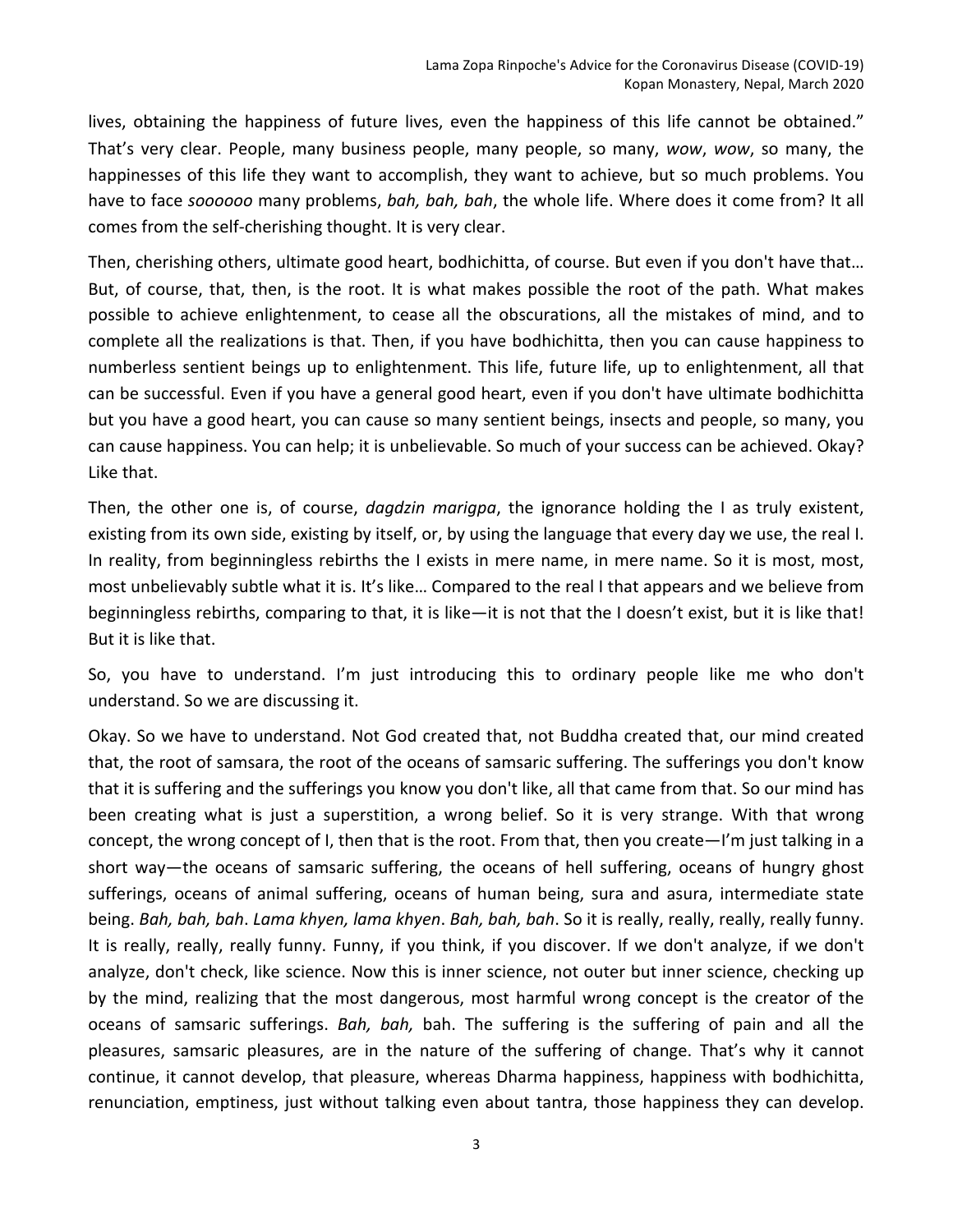lives, obtaining the happiness of future lives, even the happiness of this life cannot be obtained." That's very clear. People, many business people, many people, so many, *wow*, *wow*, so many, the happinesses of this life they want to accomplish, they want to achieve, but so much problems. You have to face *soooooo* many problems, *bah, bah, bah*, the whole life. Where does it come from? It all comes from the self-cherishing thought. It is very clear.

Then, cherishing others, ultimate good heart, bodhichitta, of course. But even if you don't have that... But, of course, that, then, is the root. It is what makes possible the root of the path. What makes possible to achieve enlightenment, to cease all the obscurations, all the mistakes of mind, and to complete all the realizations is that. Then, if you have bodhichitta, then you can cause happiness to numberless sentient beings up to enlightenment. This life, future life, up to enlightenment, all that can be successful. Even if you have a general good heart, even if you don't have ultimate bodhichitta but you have a good heart, you can cause so many sentient beings, insects and people, so many, you can cause happiness. You can help; it is unbelievable. So much of your success can be achieved. Okay? Like that.

Then, the other one is, of course, *dagdzin marigpa*, the ignorance holding the I as truly existent, existing from its own side, existing by itself, or, by using the language that every day we use, the real I. In reality, from beginningless rebirths the I exists in mere name, in mere name. So it is most, most, most unbelievably subtle what it is. It's like... Compared to the real I that appears and we believe from beginningless rebirths, comparing to that, it is like—it is not that the I doesn't exist, but it is like that! But it is like that.

So, you have to understand. I'm just introducing this to ordinary people like me who don't understand. So we are discussing it.

Okay. So we have to understand. Not God created that, not Buddha created that, our mind created that, the root of samsara, the root of the oceans of samsaric suffering. The sufferings you don't know that it is suffering and the sufferings you know you don't like, all that came from that. So our mind has been creating what is just a superstition, a wrong belief. So it is very strange. With that wrong concept, the wrong concept of I, then that is the root. From that, then you create—I'm just talking in a short way—the oceans of samsaric suffering, the oceans of hell suffering, oceans of hungry ghost sufferings, oceans of animal suffering, oceans of human being, sura and asura, intermediate state being. *Bah, bah, bah. Lama khyen, lama khyen. Bah, bah, bah.* So it is really, really, really, really funny. It is really, really, really funny. Funny, if you think, if you discover. If we don't analyze, if we don't analyze, don't check, like science. Now this is inner science, not outer but inner science, checking up by the mind, realizing that the most dangerous, most harmful wrong concept is the creator of the oceans of samsaric sufferings. *Bah, bah,* bah. The suffering is the suffering of pain and all the pleasures, samsaric pleasures, are in the nature of the suffering of change. That's why it cannot continue, it cannot develop, that pleasure, whereas Dharma happiness, happiness with bodhichitta, renunciation, emptiness, just without talking even about tantra, those happiness they can develop.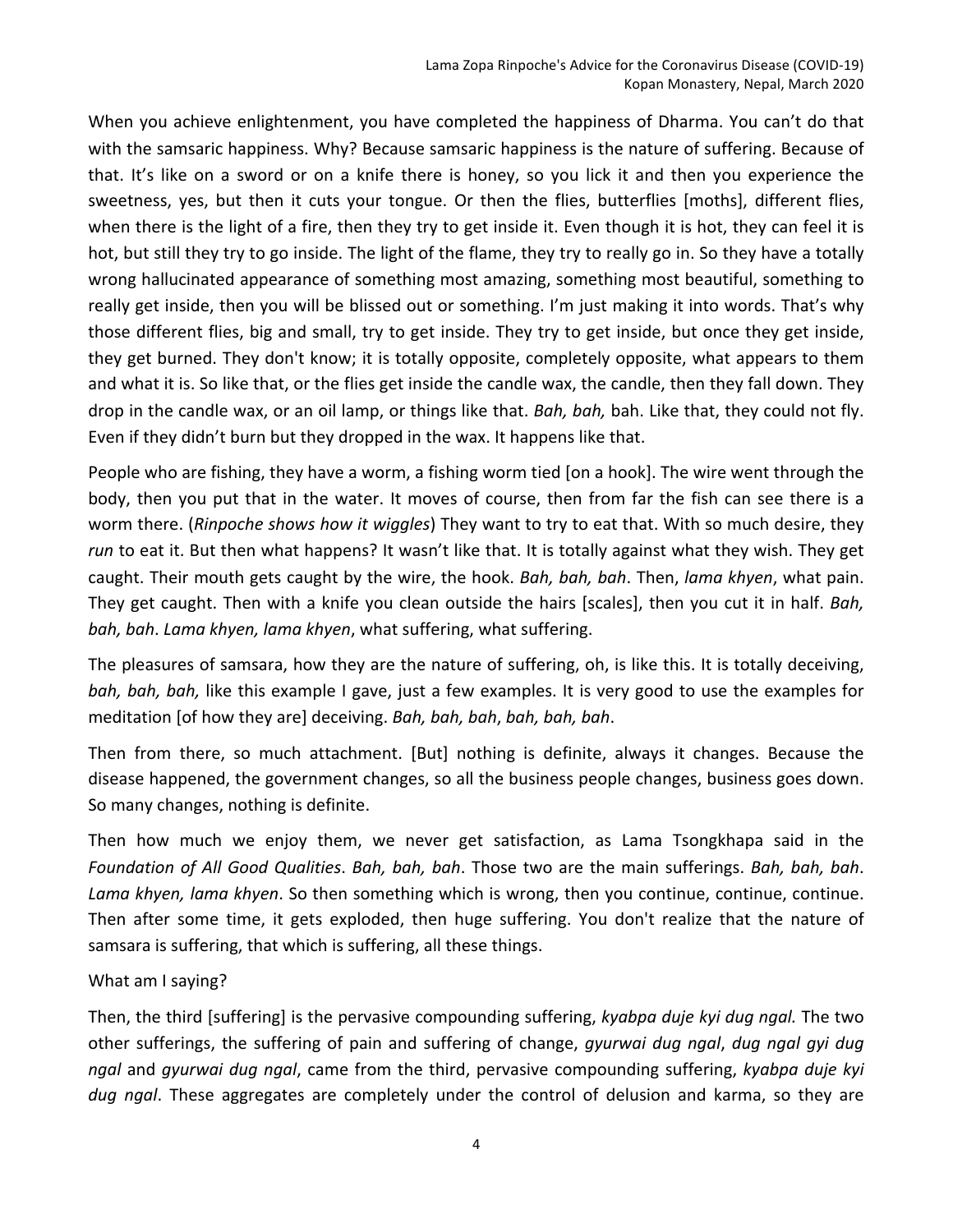When you achieve enlightenment, you have completed the happiness of Dharma. You can't do that with the samsaric happiness. Why? Because samsaric happiness is the nature of suffering. Because of that. It's like on a sword or on a knife there is honey, so you lick it and then you experience the sweetness, yes, but then it cuts your tongue. Or then the flies, butterflies [moths], different flies, when there is the light of a fire, then they try to get inside it. Even though it is hot, they can feel it is hot, but still they try to go inside. The light of the flame, they try to really go in. So they have a totally wrong hallucinated appearance of something most amazing, something most beautiful, something to really get inside, then you will be blissed out or something. I'm just making it into words. That's why those different flies, big and small, try to get inside. They try to get inside, but once they get inside, they get burned. They don't know; it is totally opposite, completely opposite, what appears to them and what it is. So like that, or the flies get inside the candle wax, the candle, then they fall down. They drop in the candle wax, or an oil lamp, or things like that. *Bah, bah,* bah. Like that, they could not fly. Even if they didn't burn but they dropped in the wax. It happens like that.

People who are fishing, they have a worm, a fishing worm tied [on a hook]. The wire went through the body, then you put that in the water. It moves of course, then from far the fish can see there is a worm there. (*Rinpoche shows how it wiggles*) They want to try to eat that. With so much desire, they *run* to eat it. But then what happens? It wasn't like that. It is totally against what they wish. They get caught. Their mouth gets caught by the wire, the hook. *Bah, bah, bah*. Then, *lama khyen*, what pain. They get caught. Then with a knife you clean outside the hairs [scales], then you cut it in half. *Bah*, *bah, bah. Lama khyen, lama khyen,* what suffering, what suffering.

The pleasures of samsara, how they are the nature of suffering, oh, is like this. It is totally deceiving, *bah, bah, bah,* like this example I gave, just a few examples. It is very good to use the examples for meditation [of how they are] deceiving. Bah, bah, bah, bah, bah, bah.

Then from there, so much attachment. [But] nothing is definite, always it changes. Because the disease happened, the government changes, so all the business people changes, business goes down. So many changes, nothing is definite.

Then how much we enjoy them, we never get satisfaction, as Lama Tsongkhapa said in the *Foundation of All Good Qualities. Bah, bah, bah.* Those two are the main sufferings. *Bah, bah, bah.* Lama khyen, lama khyen. So then something which is wrong, then you continue, continue, continue. Then after some time, it gets exploded, then huge suffering. You don't realize that the nature of samsara is suffering, that which is suffering, all these things.

#### What am I saying?

Then, the third [suffering] is the pervasive compounding suffering, *kyabpa duje kyi dug ngal.* The two other sufferings, the suffering of pain and suffering of change, *gyurwai dug ngal*, *dug ngal gyi dug ngal* and *gyurwai dug ngal*, came from the third, pervasive compounding suffering, kyabpa duje kyi *dug ngal*. These aggregates are completely under the control of delusion and karma, so they are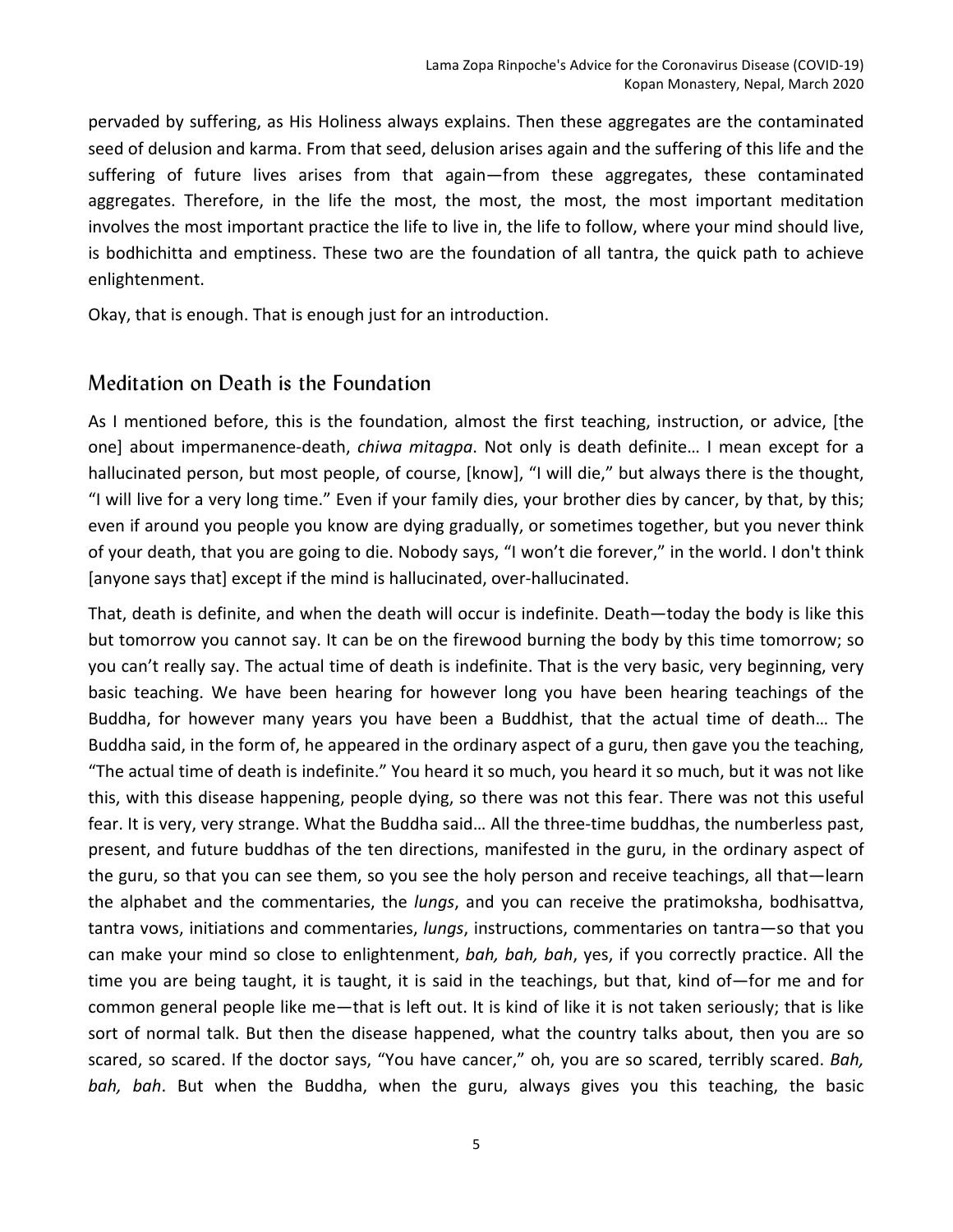pervaded by suffering, as His Holiness always explains. Then these aggregates are the contaminated seed of delusion and karma. From that seed, delusion arises again and the suffering of this life and the suffering of future lives arises from that again—from these aggregates, these contaminated aggregates. Therefore, in the life the most, the most, the most, the most important meditation involves the most important practice the life to live in, the life to follow, where your mind should live, is bodhichitta and emptiness. These two are the foundation of all tantra, the quick path to achieve enlightenment. 

Okay, that is enough. That is enough just for an introduction.

## Meditation on Death is the Foundation

As I mentioned before, this is the foundation, almost the first teaching, instruction, or advice, [the one] about impermanence-death, *chiwa mitagpa*. Not only is death definite... I mean except for a hallucinated person, but most people, of course, [know], "I will die," but always there is the thought, "I will live for a very long time." Even if your family dies, your brother dies by cancer, by that, by this; even if around you people you know are dying gradually, or sometimes together, but you never think of your death, that you are going to die. Nobody says, "I won't die forever," in the world. I don't think [anyone says that] except if the mind is hallucinated, over-hallucinated.

That, death is definite, and when the death will occur is indefinite. Death—today the body is like this but tomorrow you cannot say. It can be on the firewood burning the body by this time tomorrow; so you can't really say. The actual time of death is indefinite. That is the very basic, very beginning, very basic teaching. We have been hearing for however long you have been hearing teachings of the Buddha, for however many years you have been a Buddhist, that the actual time of death... The Buddha said, in the form of, he appeared in the ordinary aspect of a guru, then gave you the teaching, "The actual time of death is indefinite." You heard it so much, you heard it so much, but it was not like this, with this disease happening, people dying, so there was not this fear. There was not this useful fear. It is very, very strange. What the Buddha said... All the three-time buddhas, the numberless past, present, and future buddhas of the ten directions, manifested in the guru, in the ordinary aspect of the guru, so that you can see them, so you see the holy person and receive teachings, all that—learn the alphabet and the commentaries, the *lungs*, and you can receive the pratimoksha, bodhisattva, tantra vows, initiations and commentaries, *lungs*, instructions, commentaries on tantra—so that you can make your mind so close to enlightenment, *bah, bah, bah*, yes, if you correctly practice. All the time you are being taught, it is taught, it is said in the teachings, but that, kind of—for me and for common general people like me—that is left out. It is kind of like it is not taken seriously; that is like sort of normal talk. But then the disease happened, what the country talks about, then you are so scared, so scared. If the doctor says, "You have cancer," oh, you are so scared, terribly scared. *Bah,* bah, bah. But when the Buddha, when the guru, always gives you this teaching, the basic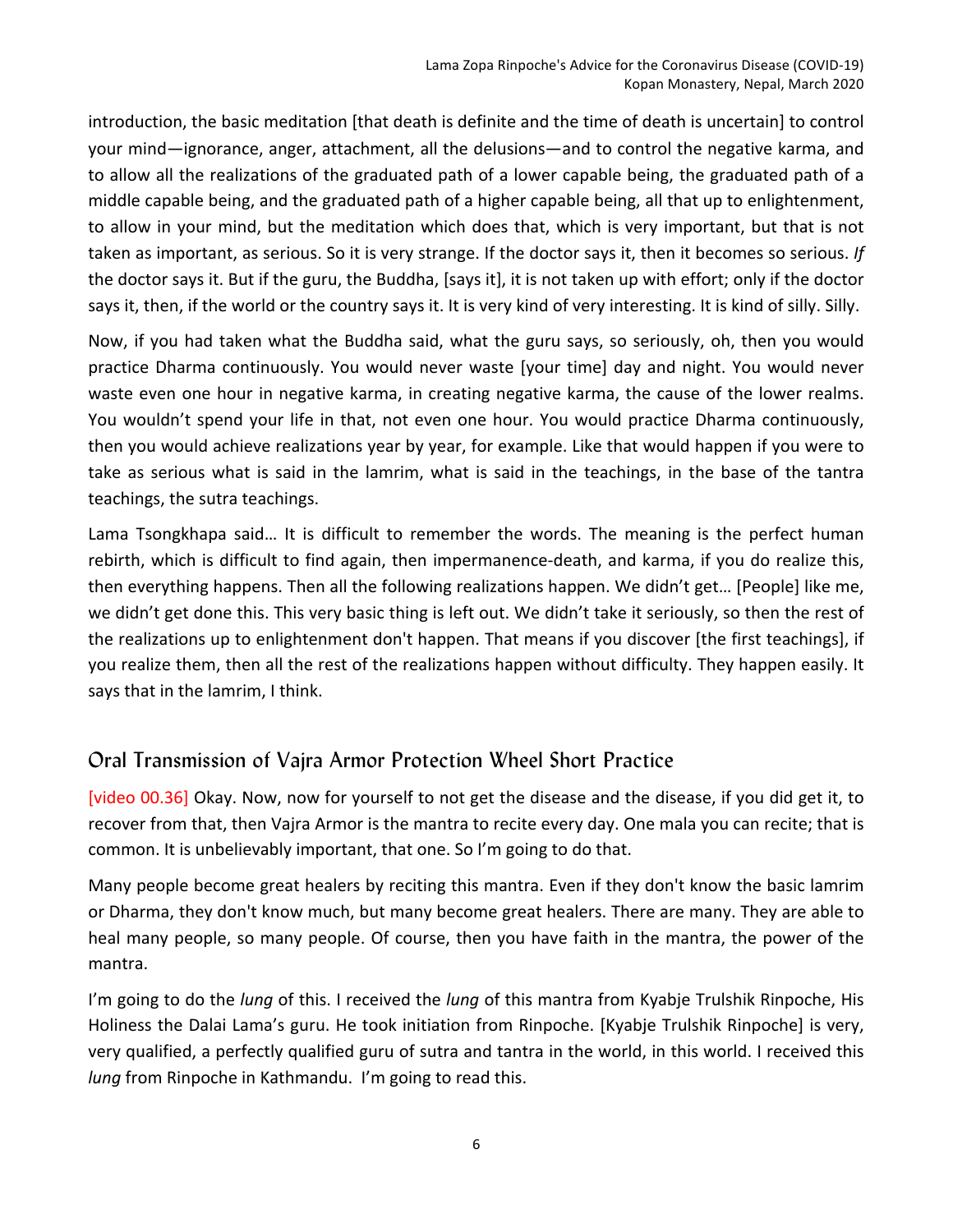introduction, the basic meditation [that death is definite and the time of death is uncertain] to control your mind—ignorance, anger, attachment, all the delusions—and to control the negative karma, and to allow all the realizations of the graduated path of a lower capable being, the graduated path of a middle capable being, and the graduated path of a higher capable being, all that up to enlightenment, to allow in your mind, but the meditation which does that, which is very important, but that is not taken as important, as serious. So it is very strange. If the doctor says it, then it becomes so serious. If the doctor says it. But if the guru, the Buddha, [says it], it is not taken up with effort; only if the doctor says it, then, if the world or the country says it. It is very kind of very interesting. It is kind of silly. Silly.

Now, if you had taken what the Buddha said, what the guru says, so seriously, oh, then you would practice Dharma continuously. You would never waste [your time] day and night. You would never waste even one hour in negative karma, in creating negative karma, the cause of the lower realms. You wouldn't spend your life in that, not even one hour. You would practice Dharma continuously, then you would achieve realizations year by year, for example. Like that would happen if you were to take as serious what is said in the lamrim, what is said in the teachings, in the base of the tantra teachings, the sutra teachings.

Lama Tsongkhapa said... It is difficult to remember the words. The meaning is the perfect human rebirth, which is difficult to find again, then impermanence-death, and karma, if you do realize this, then everything happens. Then all the following realizations happen. We didn't get... [People] like me, we didn't get done this. This very basic thing is left out. We didn't take it seriously, so then the rest of the realizations up to enlightenment don't happen. That means if you discover [the first teachings], if you realize them, then all the rest of the realizations happen without difficulty. They happen easily. It says that in the lamrim, I think.

## Oral Transmission of Vajra Armor Protection Wheel Short Practice

[video 00.36] Okay. Now, now for yourself to not get the disease and the disease, if you did get it, to recover from that, then Vajra Armor is the mantra to recite every day. One mala you can recite; that is common. It is unbelievably important, that one. So I'm going to do that.

Many people become great healers by reciting this mantra. Even if they don't know the basic lamrim or Dharma, they don't know much, but many become great healers. There are many. They are able to heal many people, so many people. Of course, then you have faith in the mantra, the power of the mantra. 

I'm going to do the *lung* of this. I received the *lung* of this mantra from Kyabje Trulshik Rinpoche, His Holiness the Dalai Lama's guru. He took initiation from Rinpoche. [Kyabje Trulshik Rinpoche] is very, very qualified, a perfectly qualified guru of sutra and tantra in the world, in this world. I received this *lung* from Rinpoche in Kathmandu. I'm going to read this.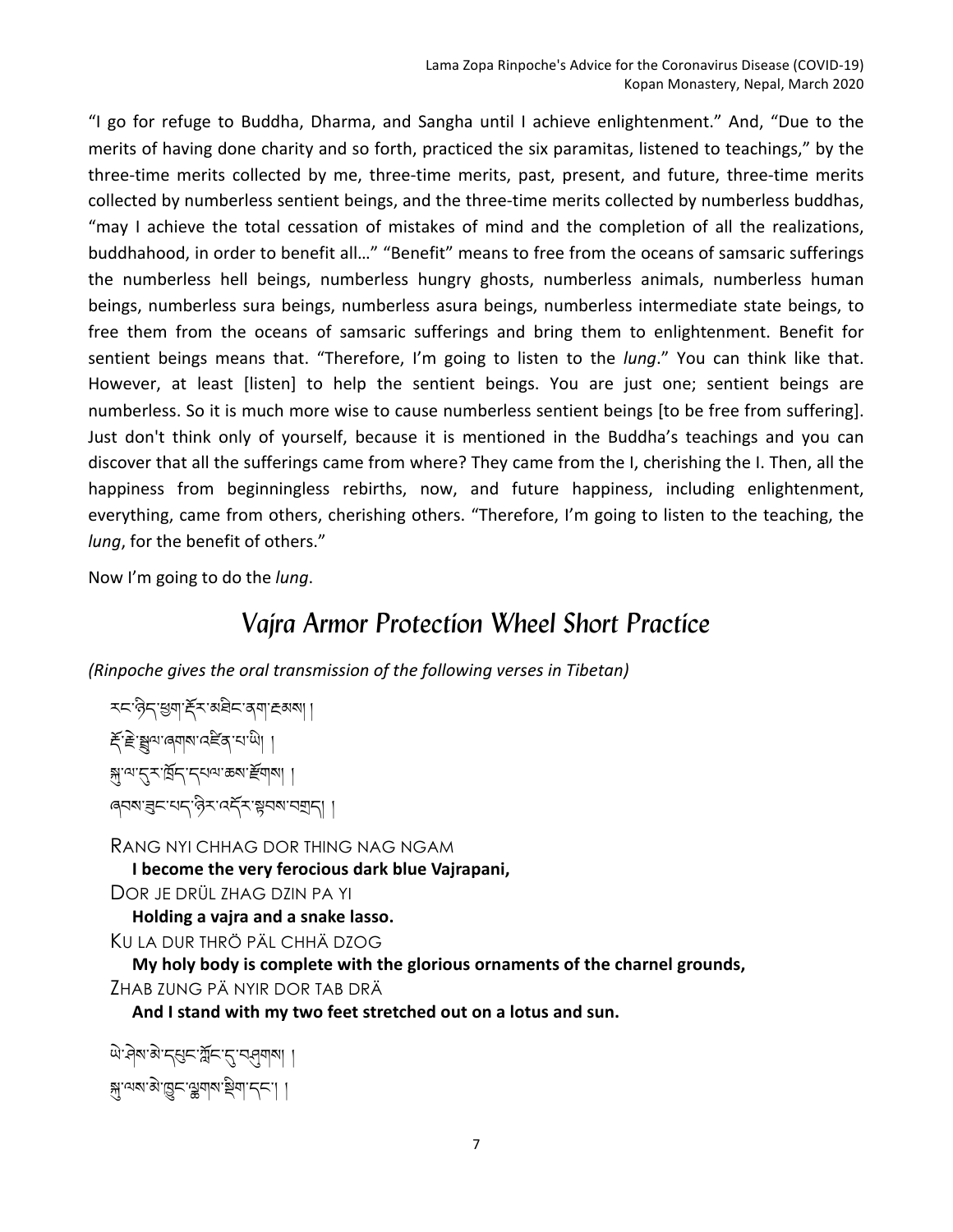"I go for refuge to Buddha, Dharma, and Sangha until I achieve enlightenment." And, "Due to the merits of having done charity and so forth, practiced the six paramitas, listened to teachings," by the three-time merits collected by me, three-time merits, past, present, and future, three-time merits collected by numberless sentient beings, and the three-time merits collected by numberless buddhas, "may I achieve the total cessation of mistakes of mind and the completion of all the realizations, buddhahood, in order to benefit all..." "Benefit" means to free from the oceans of samsaric sufferings the numberless hell beings, numberless hungry ghosts, numberless animals, numberless human beings, numberless sura beings, numberless asura beings, numberless intermediate state beings, to free them from the oceans of samsaric sufferings and bring them to enlightenment. Benefit for sentient beings means that. "Therefore, I'm going to listen to the *lung*." You can think like that. However, at least [listen] to help the sentient beings. You are just one; sentient beings are numberless. So it is much more wise to cause numberless sentient beings [to be free from suffering]. Just don't think only of yourself, because it is mentioned in the Buddha's teachings and you can discover that all the sufferings came from where? They came from the I, cherishing the I. Then, all the happiness from beginningless rebirths, now, and future happiness, including enlightenment, everything, came from others, cherishing others. "Therefore, I'm going to listen to the teaching, the *lung*, for the benefit of others."

Now I'm going to do the *lung*.

# *Vajra Armor Protection Wheel Short Practice*

*(Rinpoche gives the oral transmission of the following verses in Tibetan)*

```
<u> रू</u>द्र हेवा हॅर अंडेट दवा हबबा ।
हैं: हैं सुव्यालयात्रा पहिंद यायी
ক্স'<sup>ন্ম'</sup>ন্ম'ৰ্ম্ম'ৰ্ম্ম' ব্ৰিন্দ'ৰ্ম্ম'ৰ্ম' ।
ৰ্বম'ব্ৰুন'থন্'ৰ্ন্ত্ৰুন'ৰ্ম্ন' মুঘৰা'নমাৰী ।
```
RANG NYI CHHAG DOR THING NAG NGAM

**I** become the very ferocious dark blue Vajrapani,

DOR JE DRÜL ZHAG DZIN PA YI

**Holding a vajra and a snake lasso.** KU LA DUR THRÖ PÄL CHHÄ DZOG

**My** holy body is complete with the glorious ornaments of the charnel grounds, ZHAB ZUNG PÄ NYIR DOR TAB DRÄ

And I stand with my two feet stretched out on a lotus and sun.

```
बेग्नेब बेग्दुस्यान के पुरस्
সু'শ্ম'ণ্ড' ব্রিন'ঞ্জন|ম'ষ্ট্রন|'ন্দ'| |
```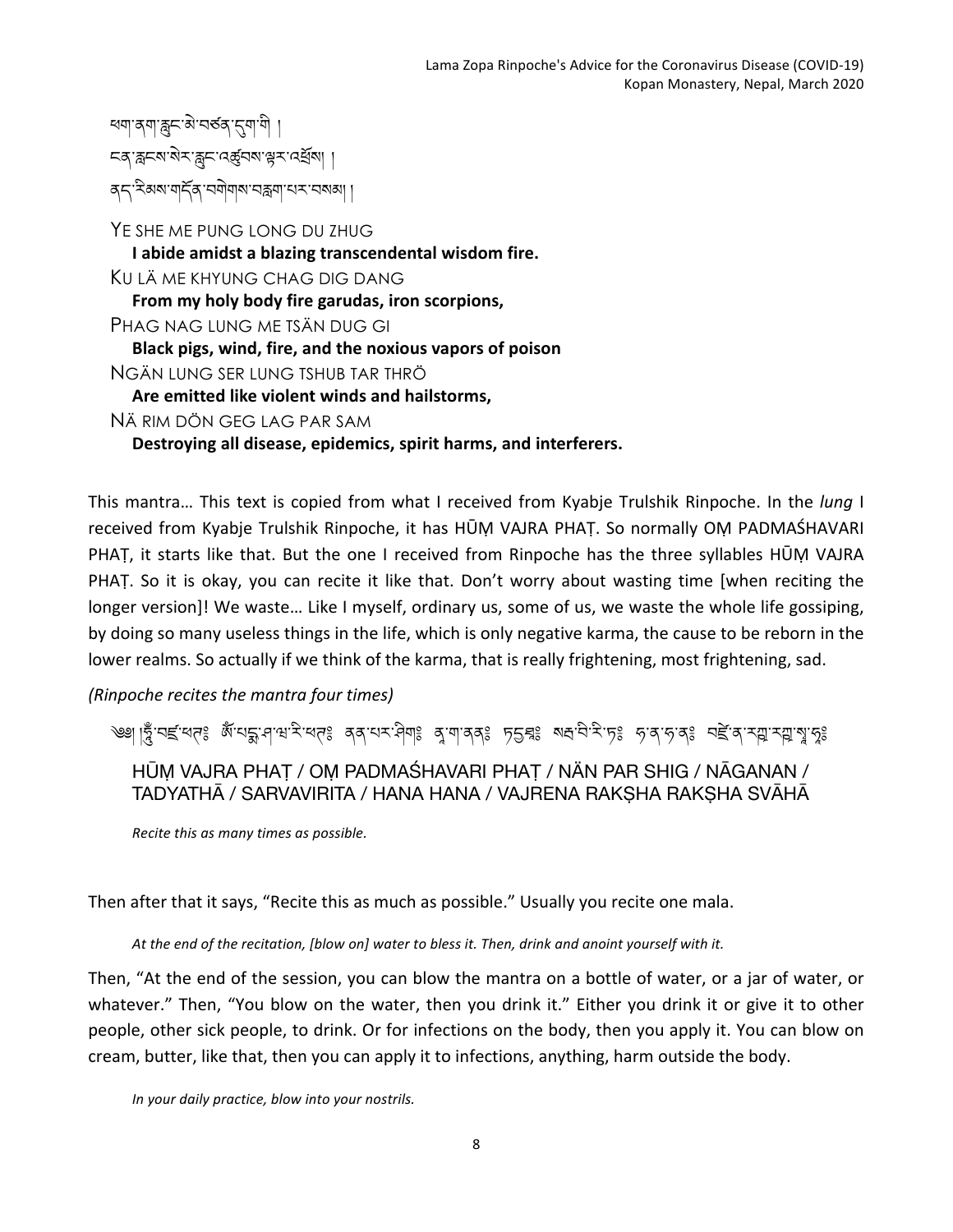খনার্মাক্লুনস্মান্তর্জন্মাণী। ८८ क्षेत्रा बरा बुद्ध । ནད་རིམས་གདོན་བགེགས་བWག་པར་བསམ། ། YE SHE ME PUNG LONG DU ZHUG **I** abide amidst a blazing transcendental wisdom fire. KU LÄ ME KHYUNG CHAG DIG DANG From my holy body fire garudas, iron scorpions, PHAG NAG LUNG ME TSÄN DUG GI Black pigs, wind, fire, and the noxious vapors of poison NGÄN LUNG SER LUNG TSHUB TAR THRÖ Are emitted like violent winds and hailstorms, NÄ RIM DÖN GEG LAG PAR SAM

Destroying all disease, epidemics, spirit harms, and interferers.

This mantra... This text is copied from what I received from Kyabje Trulshik Rinpoche. In the *lung* I received from Kyabje Trulshik Rinpoche, it has HŪM VAJRA PHAȚ. So normally OM PADMAŚHAVARI PHAŢ, it starts like that. But the one I received from Rinpoche has the three syllables HŪM VAJRA PHAȚ. So it is okay, you can recite it like that. Don't worry about wasting time [when reciting the longer version]! We waste... Like I myself, ordinary us, some of us, we waste the whole life gossiping, by doing so many useless things in the life, which is only negative karma, the cause to be reborn in the lower realms. So actually if we think of the karma, that is really frightening, most frightening, sad.

*(Rinpoche recites the mantra four times)*

্জ্ঞ| ৷ষ্ট্ৰ'ন্দ্ৰ্যৰ্থৰ স্থান্দ্ৰাস্থ্য পৰিতি পৰি প্ৰায়ত প্ৰায়ত্ৰৰ ১৯২৯ চন্দ্ৰ স্থাপন কৰি পৰি পৰি পৰি পৰি প

HŪṂ VAJRA PHAṬ / OṂ PADMAŚHAVARI PHAṬ / NÄN PAR SHIG / NĀGANAN / TADYATHA / SARVAVIRITA / HANA HANA / VAJRENA RAKSHA RAKSHA SVAHA

*Recite this as many times as possible.* 

Then after that it says, "Recite this as much as possible." Usually you recite one mala.

At the end of the recitation, [blow on] water to bless it. Then, drink and anoint yourself with it.

Then, "At the end of the session, you can blow the mantra on a bottle of water, or a jar of water, or whatever." Then, "You blow on the water, then you drink it." Either you drink it or give it to other people, other sick people, to drink. Or for infections on the body, then you apply it. You can blow on cream, butter, like that, then you can apply it to infections, anything, harm outside the body.

*In your daily practice, blow into your nostrils.*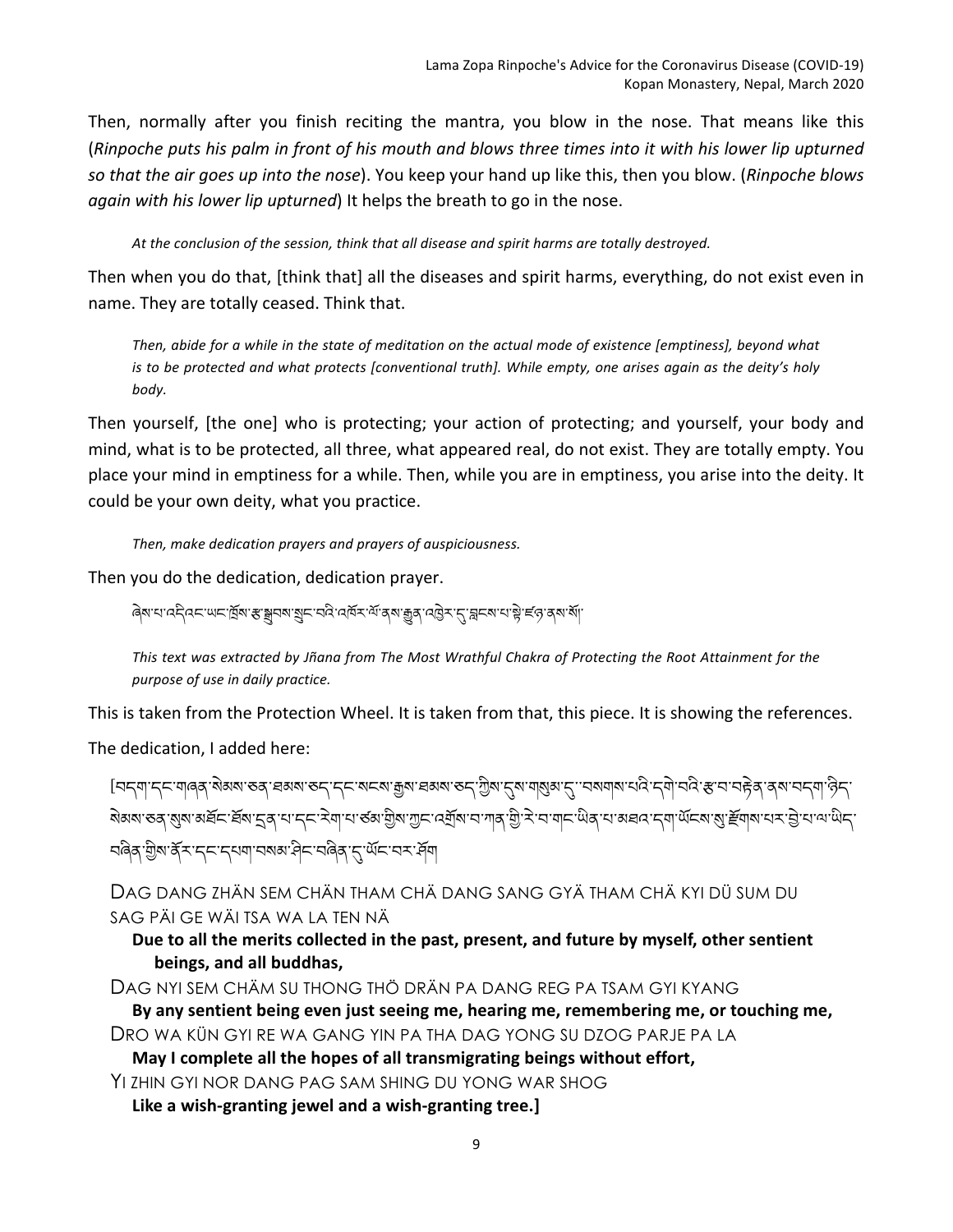Then, normally after you finish reciting the mantra, you blow in the nose. That means like this (*Rinpoche puts his palm in front of his mouth and blows three times into it with his lower lip upturned so that the air goes up into the nose*). You keep your hand up like this, then you blow. (*Rinpoche blows dagin* with his lower lip *upturned*) It helps the breath to go in the nose.

At the conclusion of the session, think that all disease and spirit harms are totally destroyed.

Then when you do that, [think that] all the diseases and spirit harms, everything, do not exist even in name. They are totally ceased. Think that.

Then, abide for a while in the state of meditation on the actual mode of existence [emptiness], beyond what *is* to be protected and what protects [conventional truth]. While empty, one arises again as the deity's holy *body.*

Then yourself, [the one] who is protecting; your action of protecting; and yourself, your body and mind, what is to be protected, all three, what appeared real, do not exist. They are totally empty. You place your mind in emptiness for a while. Then, while you are in emptiness, you arise into the deity. It could be your own deity, what you practice.

Then, make dedication prayers and prayers of auspiciousness.

Then you do the dedication, dedication prayer.

बेबादा दद्देवहायहाँ का साध्या अहमाया के साथ के राज्य के साथ से साथ से प्रदेश के साथ से

This text was extracted by Jñana from The Most Wrathful Chakra of Protecting the Root Attainment for the *purpose of use in daily practice.*

This is taken from the Protection Wheel. It is taken from that, this piece. It is showing the references.

The dedication, I added here:

[བདག་དང་གནན་མེམས་རུན་བམས་རོད་དང་སངས་རྒྱས་ঘམས་རོད་ཀྱིས་དས་གསུམ་ད་་བསགས་པའི་དགེ་བའི་རུ་ན་བ་བརེན་ནས་བདག་ଡିད་ ؗ જ્ઞેઢાଷ'रुठ्' શુષ'ઠાર્ચॅद' र्घष'5्ठ्' द'प्द' देवा'द' रुढा'ग्रीष'ग्रुद' 'दर्मेष' द'गोठ्' ग्रे'द'याचा "धेठ्' द' अधव 'दवा 'थॅ'द्याष'दार' हे 'द' 'व' धेद् <u>ন্দৰিক্' শ্ৰীৰ'ৰ্ক্' হ'ব্'ব্'বৰ্মৰ' বিৰ্মাণ বিৰ্মিক্' বিৰ্মিক্' বিৰ্মিক্</u>

DAG DANG ZHÄN SEM CHÄN THAM CHÄ DANG SANG GYÄ THAM CHÄ KYI DÜ SUM DU SAG PÄI GE WÄI TSA WA LA TEN NÄ

Due to all the merits collected in the past, present, and future by myself, other sentient beings, and all buddhas,

DAG NYI SEM CHÄM SU THONG THÖ DRÄN PA DANG REG PA TSAM GYI KYANG

By any sentient being even just seeing me, hearing me, remembering me, or touching me, DRO WA KÜN GYI RE WA GANG YIN PA THA DAG YONG SU DZOG PARJE PA LA

**May** I complete all the hopes of all transmigrating beings without effort,

YI ZHIN GYI NOR DANG PAG SAM SHING DU YONG WAR SHOG

Like a wish-granting jewel and a wish-granting tree.]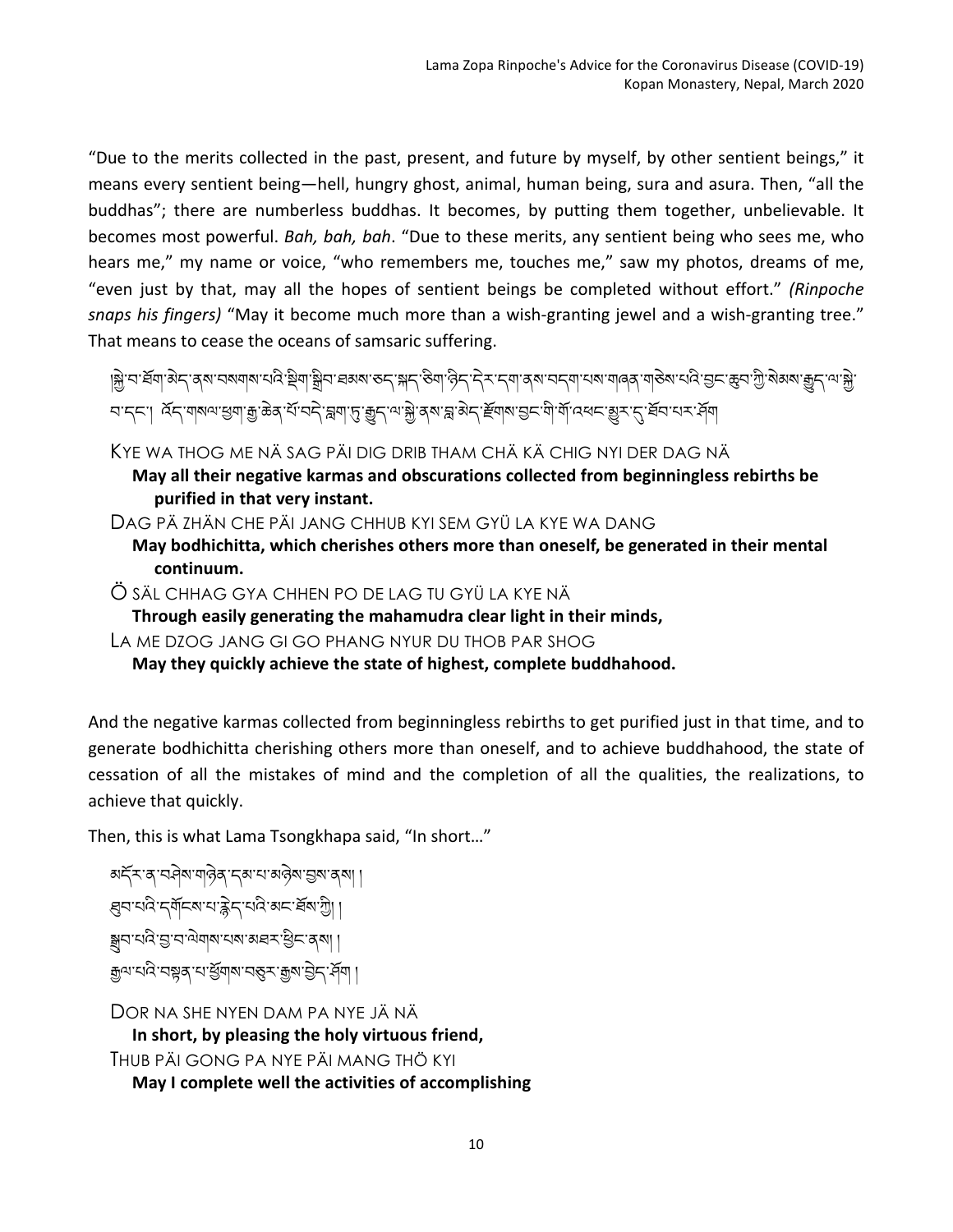"Due to the merits collected in the past, present, and future by myself, by other sentient beings," it means every sentient being—hell, hungry ghost, animal, human being, sura and asura. Then, "all the buddhas"; there are numberless buddhas. It becomes, by putting them together, unbelievable. It becomes most powerful. *Bah, bah, bah*. "Due to these merits, any sentient being who sees me, who hears me," my name or voice, "who remembers me, touches me," saw my photos, dreams of me, "even just by that, may all the hopes of sentient beings be completed without effort." (Rinpoche snaps his fingers) "May it become much more than a wish-granting jewel and a wish-granting tree." That means to cease the oceans of samsaric suffering.

୲ଛି]:ସ:ସୂଆ:ଷ୍ଟ:ସର୍ଥ:ସନ୍ଥାରା:ସ୍ଟ:କ୍ସିଆ:ଛ୍ମିସ:ସର୍ଥ:ଡିମ୍.୫ିସ୍.ଡିସ୍.୧଼ି≾:८ଏ।ସର୍ଥ:ସମ୍ୟାଧାରାଜ୍ୟ ଏଡିରା:ସ୍ଟ:କ୍ରିସ:ଦ୍ରି,ଜାଷା:କ୍ରିମ:ଜ୍ୟାକ୍ସି: ব'ন্দ'। ব্র্দ'বাৰ্মণ'শ্রুণ'ক্স'ক্কর'র্ম'ন্দ'ক্ল্লা'্দ্র'ক্কুদ'ণ্ম'স্ক্র'র্ম'ক্ল'ইনাৰ্ম'ন্ডুম'ল্ম'ৰ্মান্ম'ন্দ্র

KYE WA THOG ME NÄ SAG PÄI DIG DRIB THAM CHÄ KÄ CHIG NYI DER DAG NÄ

**May all their negative karmas and obscurations collected from beginningless rebirths be** purified in that very instant.

DAG PÄ ZHÄN CHE PÄI JANG CHHUB KYI SEM GYÜ LA KYE WA DANG

**May bodhichitta, which cherishes others more than oneself, be generated in their mental continuum.**

Ö SÄL CHHAG GYA CHHEN PO DE LAG TU GYÜ LA KYE NÄ

Through easily generating the mahamudra clear light in their minds,

LA ME DZOG JANG GI GO PHANG NYUR DU THOB PAR SHOG

May they quickly achieve the state of highest, complete buddhahood.

And the negative karmas collected from beginningless rebirths to get purified just in that time, and to generate bodhichitta cherishing others more than oneself, and to achieve buddhahood, the state of cessation of all the mistakes of mind and the completion of all the qualities, the realizations, to achieve that quickly.

Then, this is what Lama Tsongkhapa said, "In short..."

```
अॅट्नॅर व परीब पायेत्र दिवा या अद्रेष छबा स्वा।
ह्मयायदि दर्यादयायाङ्के दायदि अदार्धे ।।
হ্সব'থবি'হ্যুব'ঝ্যাঝ'থৰ'মন্ত্ৰহ'ষ্ট্ৰহ'ৰ্মা।
ক্সি<sub>'</sub>মার্প্রার্থ বা ইয়ার্থ বর্ত্তম শ্রী ।
```
DOR NA SHE NYEN DAM PA NYE JÄ NÄ In short, by pleasing the holy virtuous friend, THUB PÄI GONG PA NYE PÄI MANG THÖ KYI **May I complete well the activities of accomplishing**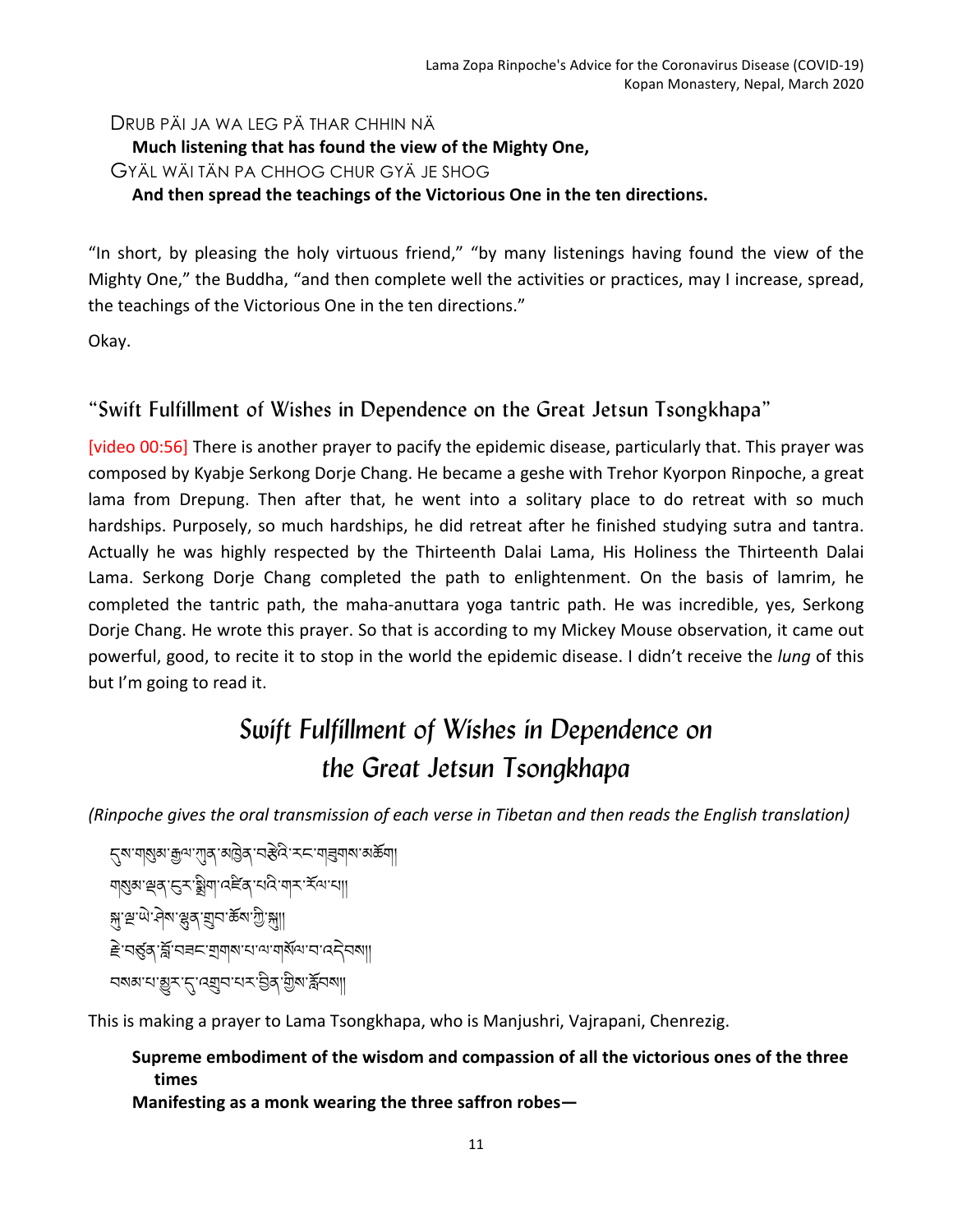#### DRUB PÄI JA WA LEG PÄ THAR CHHIN NÄ

#### **Much listening that has found the view of the Mighty One,**

GYÄL WÄI TÄN PA CHHOG CHUR GYÄ JE SHOG

And then spread the teachings of the Victorious One in the ten directions.

"In short, by pleasing the holy virtuous friend," "by many listenings having found the view of the Mighty One," the Buddha, "and then complete well the activities or practices, may I increase, spread, the teachings of the Victorious One in the ten directions."

Okay. 

## "Swift Fulfillment of Wishes in Dependence on the Great Jetsun Tsongkhapa"

[video 00:56] There is another prayer to pacify the epidemic disease, particularly that. This prayer was composed by Kyabje Serkong Dorje Chang. He became a geshe with Trehor Kyorpon Rinpoche, a great lama from Drepung. Then after that, he went into a solitary place to do retreat with so much hardships. Purposely, so much hardships, he did retreat after he finished studying sutra and tantra. Actually he was highly respected by the Thirteenth Dalai Lama, His Holiness the Thirteenth Dalai Lama. Serkong Dorje Chang completed the path to enlightenment. On the basis of lamrim, he completed the tantric path, the maha-anuttara yoga tantric path. He was incredible, yes, Serkong Dorje Chang. He wrote this prayer. So that is according to my Mickey Mouse observation, it came out powerful, good, to recite it to stop in the world the epidemic disease. I didn't receive the *lung* of this but I'm going to read it.

# *Swift Fulfillment of Wishes in Dependence on the Great Jetsun Tsongkhapa*

*(Rinpoche gives the oral transmission of each verse in Tibetan and then reads the English translation)*

ह्यायाद्युवाकुलारावि अञ्चित सङ्घेद स्टायाञ्चयावा अञ्चला मबुब स्व हर बेगा वहें बारी मार स्वाया बाद्धा के बाद्ध के स्था के बाह्य के बाह्य के बा हे पर्छुव 'र्ब्ल' पत्र पत्राणवार पार्याण कर्णा ব্যৰ বাৰ্ত্ত্ব কৰি প্ৰতি বাৰ্ত্ত্ব কৰা কৰা বিষয়া বিষয়া।

This is making a prayer to Lama Tsongkhapa, who is Manjushri, Vajrapani, Chenrezig.

# Supreme embodiment of the wisdom and compassion of all the victorious ones of the three **times**

Manifesting as a monk wearing the three saffron robes-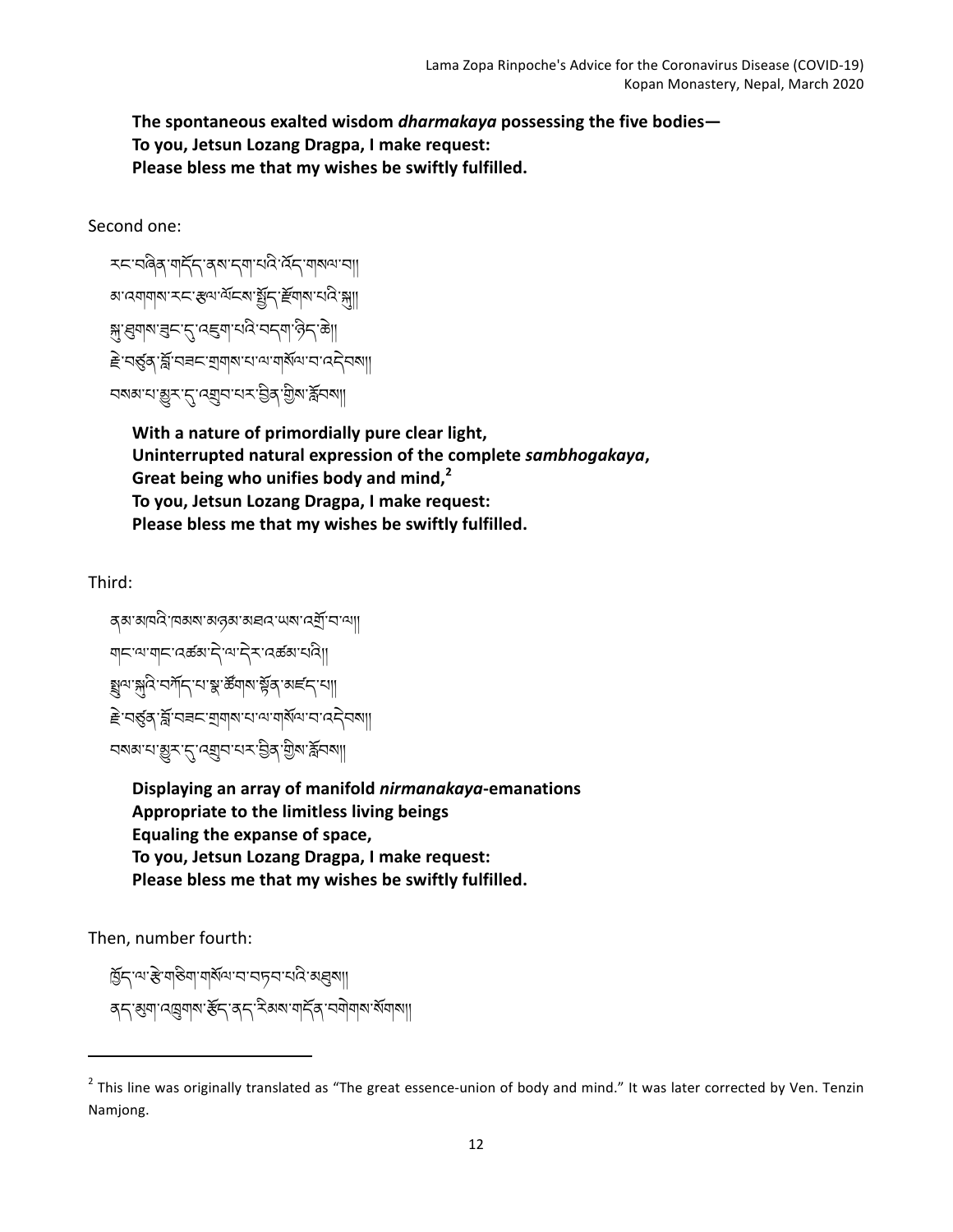The spontaneous exalted wisdom *dharmakaya* possessing the five bodies— To you, Jetsun Lozang Dragpa, I make request: Please bless me that my wishes be swiftly fulfilled.

Second one:

```
རང་བཞིན་གདོད་ནས་དག་པའི་འོད་གསལ་བ།།
མ་འགགས་རང་sལ་ལོངས་ëོད་Iོགས་པའི་G།།
স্ন'ধ্ৰুণম'ৰ্ল্ল','বৰ্ছনা'থৰ্ব'বৰ্ণ''ৰ্ল্ল'
हे पर्छुव ब्लॅं पत्र माणवाया या बार्षे बाद्म पर्दे पत्रा
ব্যৰ মাশ্ৰুমান বেম্ৰাৰ বাৰা বিভিন্ন আৰু নি
```
With a nature of primordially pure clear light, Uninterrupted natural expression of the complete sambhogakaya, Great being who unifies body and mind,<sup>2</sup> To you, Jetsun Lozang Dragpa, I make request: Please bless me that my wishes be swiftly fulfilled.

Third:

```
ནམ་མཁའི་ཁམས་མཉམ་མཐའ་ཡས་འKོ་བ་ལ།།
གང་ལ་གང་འཚམ་དེ་ལ་དེར་འཚམ་པའི།།
ৄয়ৢ৽ৼড়ড়৻ৼ৸ড়ৼ৸ৼঀৗ৸ৼঀৼ৸ৼ
हे पर्छुव क्लिं पत्र माणवाया या बार्यव्या
ব্যৰ মাশ্ৰুমান বেম্ৰাৰ বাৰা বিভিন্ন আৰু নি
```
**Displaying an array of manifold** *nirmanakaya***-emanations** Appropriate to the limitless living beings **Equaling the expanse of space,** To you, Jetsun Lozang Dragpa, I make request: Please bless me that my wishes be swiftly fulfilled.

Then, number fourth:

 

```
ত্রিন'ন'ষ্ট'মাউনা'মার্মন'ন'নসন'মেন মধ্রমা।
ব্দ্'শুনা'নেত্ৰ্যান'ৰ্ক্ষ্'ব্দ'ইকৰা'নাৰ্দ্ক'ননীনাৰ মাঁনাৰা
```
 $2$  This line was originally translated as "The great essence-union of body and mind." It was later corrected by Ven. Tenzin Namjong.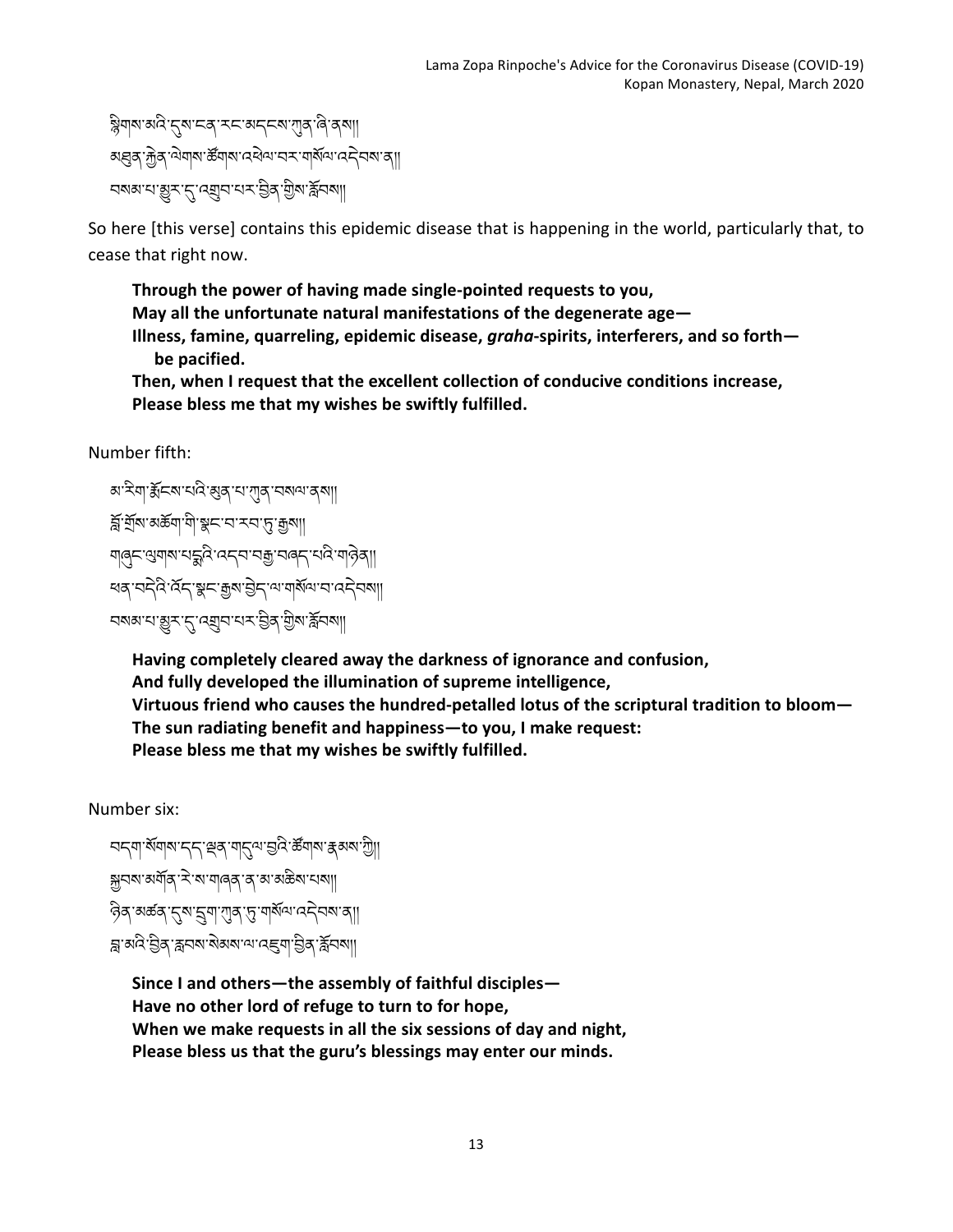```
ह्मेयाषाअदिः सुषामद्भा राज्यान को अपना कार्यो
ब्ध्वुद् क्रुत् सेगब् के अपुर क्षेत्र स्वेद्य स्वयं ना
ব্যৰ বাৰ্ত্তমাৰী বিভিন্ন বিদ্যালয় কৰি বিদি
```
So here [this verse] contains this epidemic disease that is happening in the world, particularly that, to cease that right now.

Through the power of having made single-pointed requests to you, **May all the unfortunate natural manifestations of the degenerate age— Illness, famine, quarreling, epidemic disease,** *graha***-spirits, interferers, and so forth** be pacified.

**Then, when I request that the excellent collection of conducive conditions increase,** Please bless me that my wishes be swiftly fulfilled.

Number fifth:

```
མ་རིག་རོནངས་པའི་མུན་པ་ཀུན་བསལ་ནས།།
র্শ্রিশ্র্মা অর্ক্টনা শ্রীস্থা হার্ল মাত্র
যাৰ্বেশ্ৰেমাৰ মহ্নবি বেন্ব মহ্মু বৰ্ত্ত মহি যাওৰা
स्वायदेवाद् अस्य क्षया सुरुण्या या अन्य क
বম্মা বাৰ্ম্ভুমান বেল্লুবাৰ সমূহ বিভাগ স্থান
```
Having completely cleared away the darkness of ignorance and confusion, And fully developed the illumination of supreme intelligence, Virtuous friend who causes the hundred-petalled lotus of the scriptural tradition to bloom-The sun radiating benefit and happiness—to you, I make request: Please bless me that my wishes be swiftly fulfilled.

Number six:

ন্দ্ৰবাৰ্ মঁঘাৰা দ্ৰা ভ্ৰাৰ মান্ত আৰু এই উন্নাৰ কৰা আৰু Äབས་མགོན་རེ་ས་གཞན་ན་མ་མཆིས་པས།། ཉིན་མཚན་0ས་üག་âན་Ñ་གསོལ་འདེབས་ན།། ন্ন'ঝবি'වූৰ'ক্লব্ম'ৰাজ্যম'ন্দেৰা'ট্ৰৰ'ৰ্ক্লবম্যা

Since I and others—the assembly of faithful disciples— Have no other lord of refuge to turn to for hope, **When we make requests in all the six sessions of day and night,** Please bless us that the guru's blessings may enter our minds.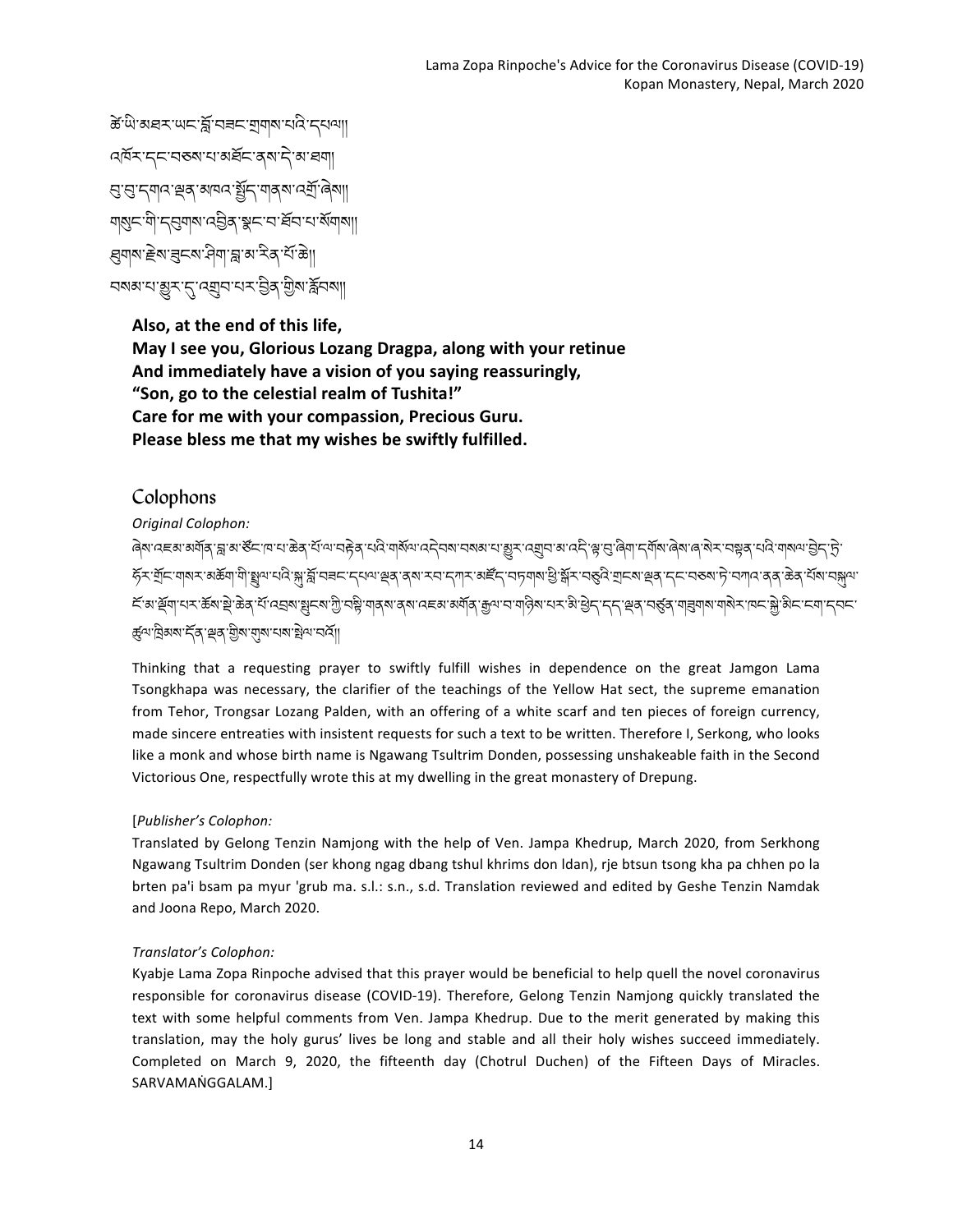```
के थे अवर ਘर क्लं यज्ञ याणारावे दयवा
འཁོར་དང་བཅས་པ་མཐོང་ནས་དེ་མ་ཐག།
सुःसुः दुषादः सूत्राश्वरः ब्लॅं सुद्धा बाह्या।
गुरान्ग्यान् सुगला विद्युष्य क्षेत्र संस्था का
্ষ্মান' ইন'ব্ৰুন্ন' প্ৰিম' ব্ল' ম' ম্ব' শ্ৰ' ক্ৰী
ব্যৰুত্তা ব্যক্তি এই বিশ্ৰাস কৰা।
```
Also, at the end of this life, **May I see you, Glorious Lozang Dragpa, along with your retinue** And immediately have a vision of you saying reassuringly, "Son, go to the celestial realm of Tushita!" Care for me with your compassion, Precious Guru. Please bless me that my wishes be swiftly fulfilled.

#### Colophons

*Original Colophon:*

َّ ﴾ લેષ વિદ્યાલય અગ્નિ કાચા કર્યો હોય કર્યો હોય કર્યો હોય કર્યો હોય કર્યો હોય કર્યો હોય કર્યો હોય કર્યો હોય ક ᡩᠽ᠄ᠳᢩᢆᢌᡳᢋ᠖ᢣᢖᢇᠲᡳ᠉ᡦᡆᢆᡳᢋ᠓ᢣᢋ᠅ᡦᢣᡄᢣᡌᢣ᠅ᡩᢋᡰᠲᡏᢣᢣᢋ᠅ᢣᡏᢣᡏᢣᡩᡏᢣᡏᢣᠲᡏᢣᡏᢣᡩᡏᢣᡏᢣᡩᡏᢣᡏᢣᡩᡏᢣᡏᢣᢣᡩᡏᢣᡏᢣᠲᡏᢣᢣᡩᡏᢣᡏᢣᡩ Ĕ མ་རོག་པར་རོས་སྲེ་རེན་པོ་འབྲས་སྲུངས་ཀྱི་བསྱི་གནས་ནས་འངམ་མགོན་རྱུལ་བ་གའིས་པར་མེ་ལྱེད་དད་ལྲན་བརུ་མུ་གྲུགས་གསེར་ལང་སྐྱེ་མིང་ངག་དབང་ ৰ্ক্সণ'ব্ৰিমম'ৰ্ন্নৰ শ্ৰুম'মৃম'থম'ষ্ণীশ'বৰ্মী।

Thinking that a requesting prayer to swiftly fulfill wishes in dependence on the great Jamgon Lama Tsongkhapa was necessary, the clarifier of the teachings of the Yellow Hat sect, the supreme emanation from Tehor, Trongsar Lozang Palden, with an offering of a white scarf and ten pieces of foreign currency, made sincere entreaties with insistent requests for such a text to be written. Therefore I, Serkong, who looks like a monk and whose birth name is Ngawang Tsultrim Donden, possessing unshakeable faith in the Second Victorious One, respectfully wrote this at my dwelling in the great monastery of Drepung.

#### [*Publisher's Colophon:*

Translated by Gelong Tenzin Namjong with the help of Ven. Jampa Khedrup, March 2020, from Serkhong Ngawang Tsultrim Donden (ser khong ngag dbang tshul khrims don Idan), rje btsun tsong kha pa chhen po la brten pa'i bsam pa myur 'grub ma. s.l.: s.n., s.d. Translation reviewed and edited by Geshe Tenzin Namdak and Joona Repo, March 2020.

#### *Translator's Colophon:*

Kyabje Lama Zopa Rinpoche advised that this prayer would be beneficial to help quell the novel coronavirus responsible for coronavirus disease (COVID-19). Therefore, Gelong Tenzin Namjong quickly translated the text with some helpful comments from Ven. Jampa Khedrup. Due to the merit generated by making this translation, may the holy gurus' lives be long and stable and all their holy wishes succeed immediately. Completed on March 9, 2020, the fifteenth day (Chotrul Duchen) of the Fifteen Days of Miracles. SARVAMANGGALAM.]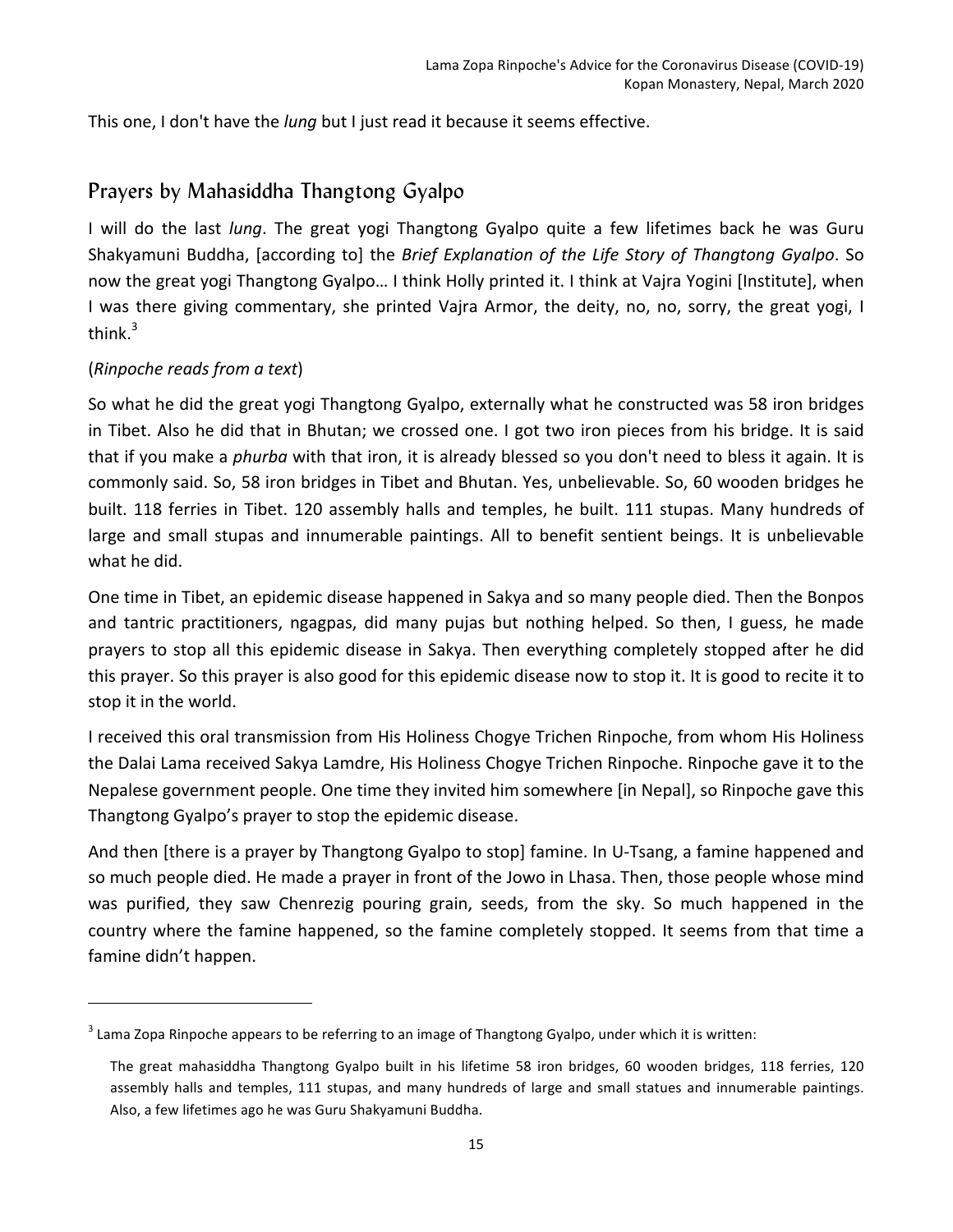This one, I don't have the *lung* but I just read it because it seems effective.

# Prayers by Mahasiddha Thangtong Gyalpo

I will do the last *lung*. The great yogi Thangtong Gyalpo quite a few lifetimes back he was Guru Shakyamuni Buddha, [according to] the *Brief Explanation of the Life Story of Thangtong Gyalpo*. So now the great yogi Thangtong Gyalpo... I think Holly printed it. I think at Vajra Yogini [Institute], when I was there giving commentary, she printed Vajra Armor, the deity, no, no, sorry, the great yogi, I think. $3$ 

## (*Rinpoche reads from a text*)

 

So what he did the great yogi Thangtong Gyalpo, externally what he constructed was 58 iron bridges in Tibet. Also he did that in Bhutan; we crossed one. I got two iron pieces from his bridge. It is said that if you make a *phurba* with that iron, it is already blessed so you don't need to bless it again. It is commonly said. So, 58 iron bridges in Tibet and Bhutan. Yes, unbelievable. So, 60 wooden bridges he built. 118 ferries in Tibet. 120 assembly halls and temples, he built. 111 stupas. Many hundreds of large and small stupas and innumerable paintings. All to benefit sentient beings. It is unbelievable what he did.

One time in Tibet, an epidemic disease happened in Sakya and so many people died. Then the Bonpos and tantric practitioners, ngagpas, did many pujas but nothing helped. So then, I guess, he made prayers to stop all this epidemic disease in Sakya. Then everything completely stopped after he did this prayer. So this prayer is also good for this epidemic disease now to stop it. It is good to recite it to stop it in the world.

I received this oral transmission from His Holiness Chogye Trichen Rinpoche, from whom His Holiness the Dalai Lama received Sakya Lamdre, His Holiness Chogye Trichen Rinpoche. Rinpoche gave it to the Nepalese government people. One time they invited him somewhere [in Nepal], so Rinpoche gave this Thangtong Gyalpo's prayer to stop the epidemic disease.

And then [there is a prayer by Thangtong Gyalpo to stop] famine. In U-Tsang, a famine happened and so much people died. He made a prayer in front of the Jowo in Lhasa. Then, those people whose mind was purified, they saw Chenrezig pouring grain, seeds, from the sky. So much happened in the country where the famine happened, so the famine completely stopped. It seems from that time a famine didn't happen.

 $3$  Lama Zopa Rinpoche appears to be referring to an image of Thangtong Gyalpo, under which it is written:

The great mahasiddha Thangtong Gyalpo built in his lifetime 58 iron bridges, 60 wooden bridges, 118 ferries, 120 assembly halls and temples, 111 stupas, and many hundreds of large and small statues and innumerable paintings. Also, a few lifetimes ago he was Guru Shakyamuni Buddha.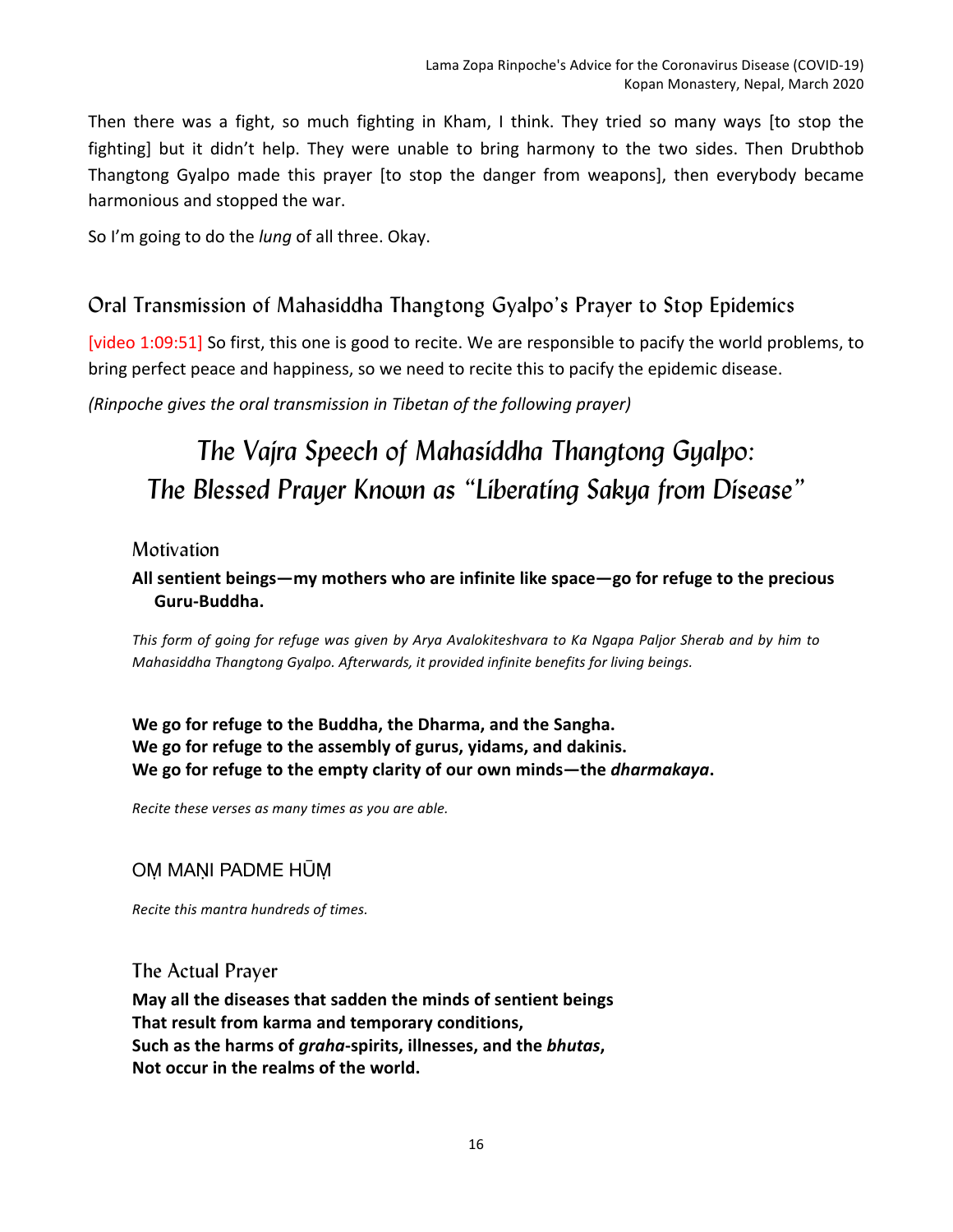Then there was a fight, so much fighting in Kham, I think. They tried so many ways [to stop the fighting] but it didn't help. They were unable to bring harmony to the two sides. Then Drubthob Thangtong Gyalpo made this prayer (to stop the danger from weapons), then everybody became harmonious and stopped the war.

So I'm going to do the *lung* of all three. Okay.

# Oral Transmission of Mahasiddha Thangtong Gyalpo's Prayer to Stop Epidemics

[video 1:09:51] So first, this one is good to recite. We are responsible to pacify the world problems, to bring perfect peace and happiness, so we need to recite this to pacify the epidemic disease.

*(Rinpoche gives the oral transmission in Tibetan of the following prayer)*

# *The Vajra Speech of Mahasiddha Thangtong Gyalpo: The Blessed Prayer Known as "Liberating Sakya from Disease"*

#### **Motivation**

All sentient beings—my mothers who are infinite like space—go for refuge to the precious **Guru-Buddha.**

*This form of going for refuge was given by Arya Avalokiteshvara to Ka Ngapa Paljor Sherab and by him to Mahasiddha Thangtong Gyalpo. Afterwards, it provided infinite benefits for living beings.* 

## We go for refuge to the Buddha, the Dharma, and the Sangha. We go for refuge to the assembly of gurus, yidams, and dakinis. We go for refuge to the empty clarity of our own minds—the *dharmakaya*.

*Recite these verses as many times as you are able.* 

#### OM MAŅI PADME HŪM

*Recite this mantra hundreds of times.* 

#### The Actual Prayer

May all the diseases that sadden the minds of sentient beings **That result from karma and temporary conditions, Such as the harms of** *graha***-spirits, illnesses, and the** *bhutas***,** Not occur in the realms of the world.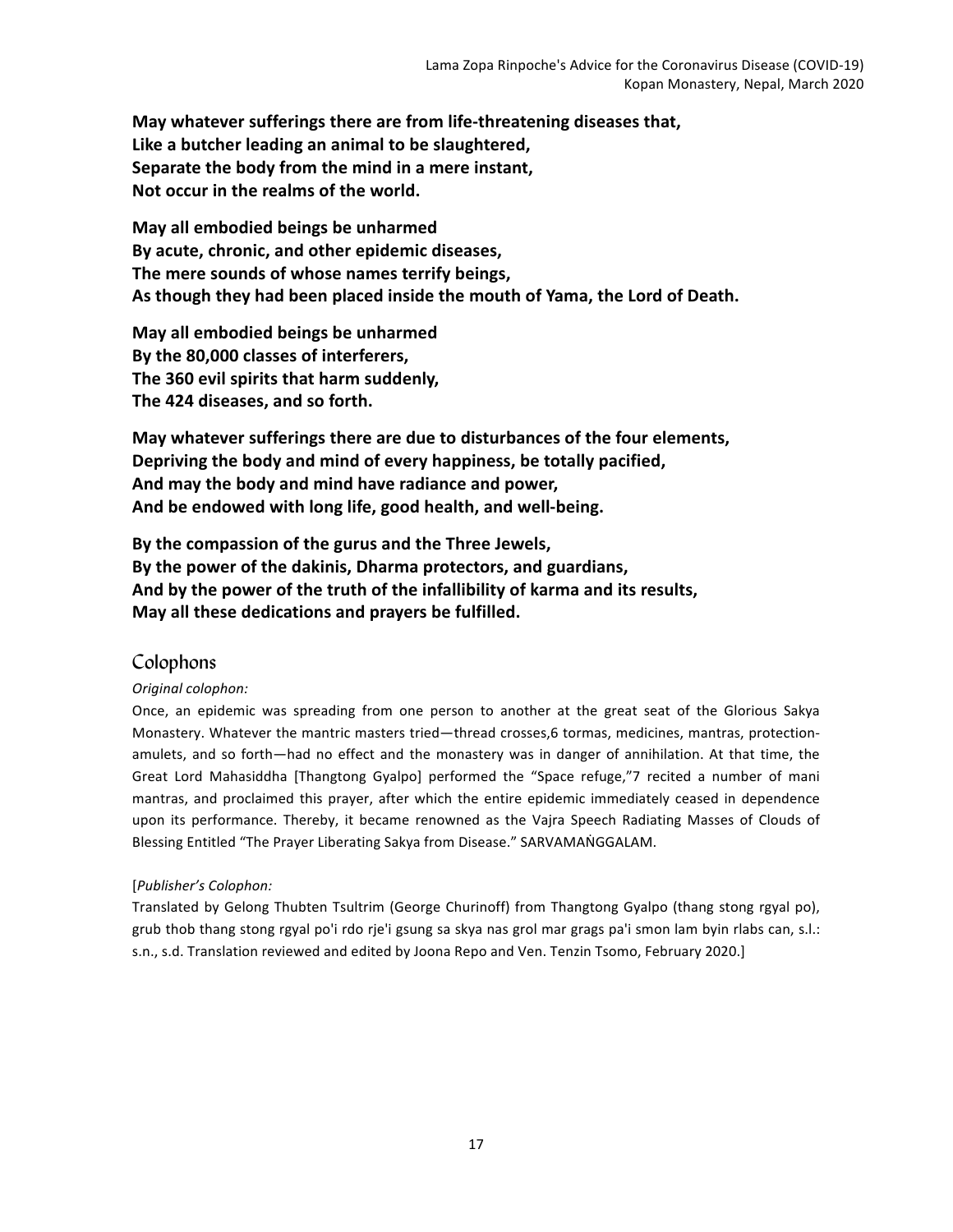May whatever sufferings there are from life-threatening diseases that, Like a butcher leading an animal to be slaughtered, **Separate the body from the mind in a mere instant,** Not occur in the realms of the world.

**May all embodied beings be unharmed** By acute, chronic, and other epidemic diseases, The mere sounds of whose names terrify beings, As though they had been placed inside the mouth of Yama, the Lord of Death.

**May all embodied beings be unharmed By the 80,000 classes of interferers,** The 360 evil spirits that harm suddenly, The 424 diseases, and so forth.

**May whatever sufferings there are due to disturbances of the four elements,** Depriving the body and mind of every happiness, be totally pacified, And may the body and mind have radiance and power, And be endowed with long life, good health, and well-being.

By the compassion of the gurus and the Three Jewels, By the power of the dakinis, Dharma protectors, and guardians, And by the power of the truth of the infallibility of karma and its results, May all these dedications and prayers be fulfilled.

#### Colophons

#### *Original colophon:*

Once, an epidemic was spreading from one person to another at the great seat of the Glorious Sakya Monastery. Whatever the mantric masters tried—thread crosses,6 tormas, medicines, mantras, protectionamulets, and so forth—had no effect and the monastery was in danger of annihilation. At that time, the Great Lord Mahasiddha [Thangtong Gyalpo] performed the "Space refuge,"7 recited a number of mani mantras, and proclaimed this prayer, after which the entire epidemic immediately ceased in dependence upon its performance. Thereby, it became renowned as the Vajra Speech Radiating Masses of Clouds of Blessing Entitled "The Prayer Liberating Sakya from Disease." SARVAMANGGALAM.

#### [*Publisher's Colophon:*

Translated by Gelong Thubten Tsultrim (George Churinoff) from Thangtong Gyalpo (thang stong rgyal po), grub thob thang stong rgyal po'i rdo rje'i gsung sa skya nas grol mar grags pa'i smon lam byin rlabs can, s.l.: s.n., s.d. Translation reviewed and edited by Joona Repo and Ven. Tenzin Tsomo, February 2020.]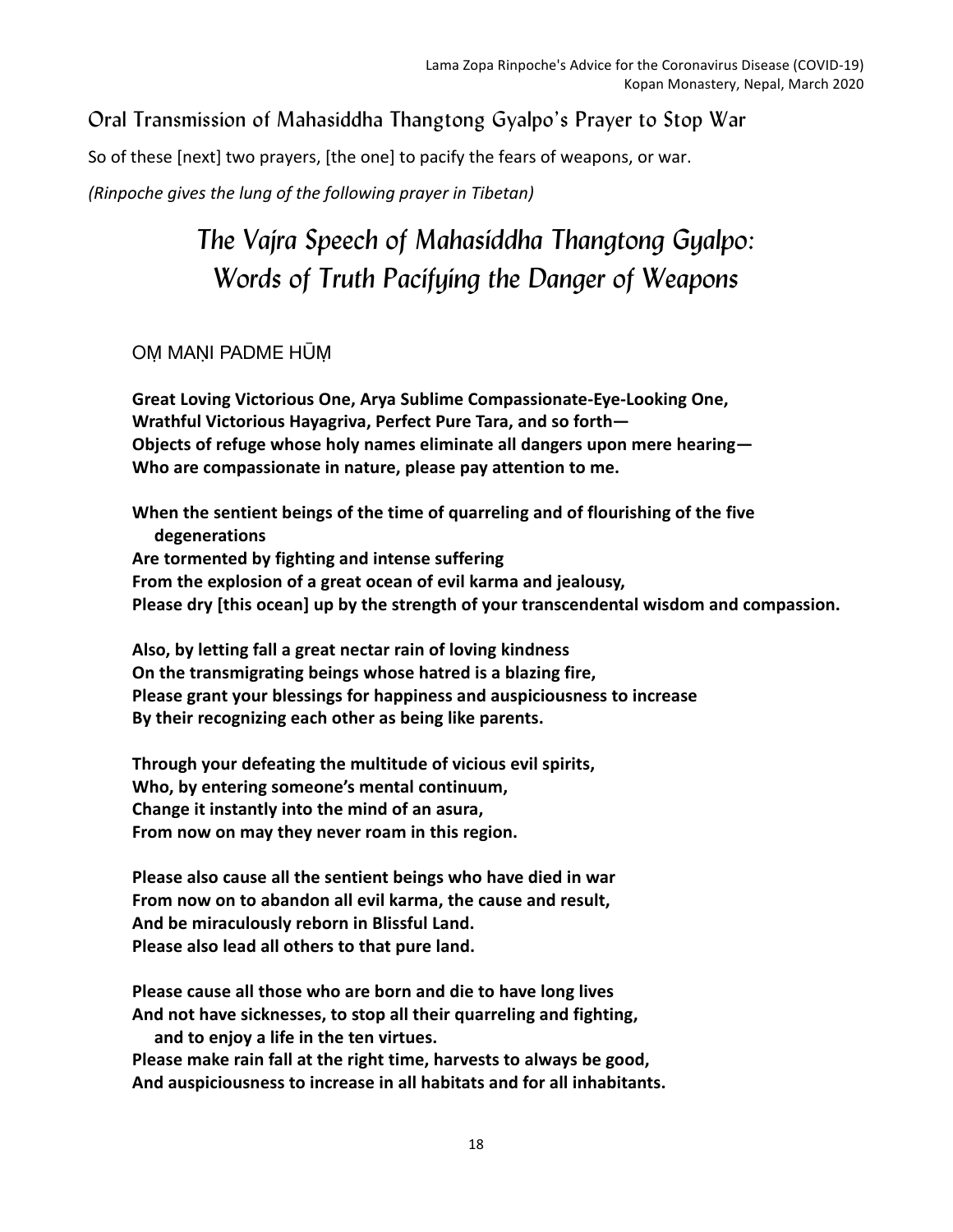# Oral Transmission of Mahasiddha Thangtong Gyalpo's Prayer to Stop War

So of these [next] two prayers, [the one] to pacify the fears of weapons, or war.

*(Rinpoche gives the lung of the following prayer in Tibetan)*

# *The Vajra Speech of Mahasiddha Thangtong Gyalpo: Words of Truth Pacifying the Danger of Weapons*

## OM MANI PADME HŪM

Great Loving Victorious One, Arya Sublime Compassionate-Eye-Looking One, **Wrathful Victorious Hayagriva, Perfect Pure Tara, and so forth— Objects of refuge whose holy names eliminate all dangers upon mere hearing—** Who are compassionate in nature, please pay attention to me.

**When the sentient beings of the time of quarreling and of flourishing of the five degenerations** Are tormented by fighting and intense suffering From the explosion of a great ocean of evil karma and jealousy, **Please dry [this ocean]** up by the strength of your transcendental wisdom and compassion.

Also, by letting fall a great nectar rain of loving kindness **On the transmigrating beings whose hatred is a blazing fire, Please grant your blessings for happiness and auspiciousness to increase** By their recognizing each other as being like parents.

Through your defeating the multitude of vicious evil spirits, Who, by entering someone's mental continuum, **Change it instantly into the mind of an asura,** From now on may they never roam in this region.

**Please also cause all the sentient beings who have died in war** From now on to abandon all evil karma, the cause and result, And be miraculously reborn in Blissful Land. Please also lead all others to that pure land.

Please cause all those who are born and die to have long lives And not have sicknesses, to stop all their quarreling and fighting, and to enjoy a life in the ten virtues.

Please make rain fall at the right time, harvests to always be good, And auspiciousness to increase in all habitats and for all inhabitants.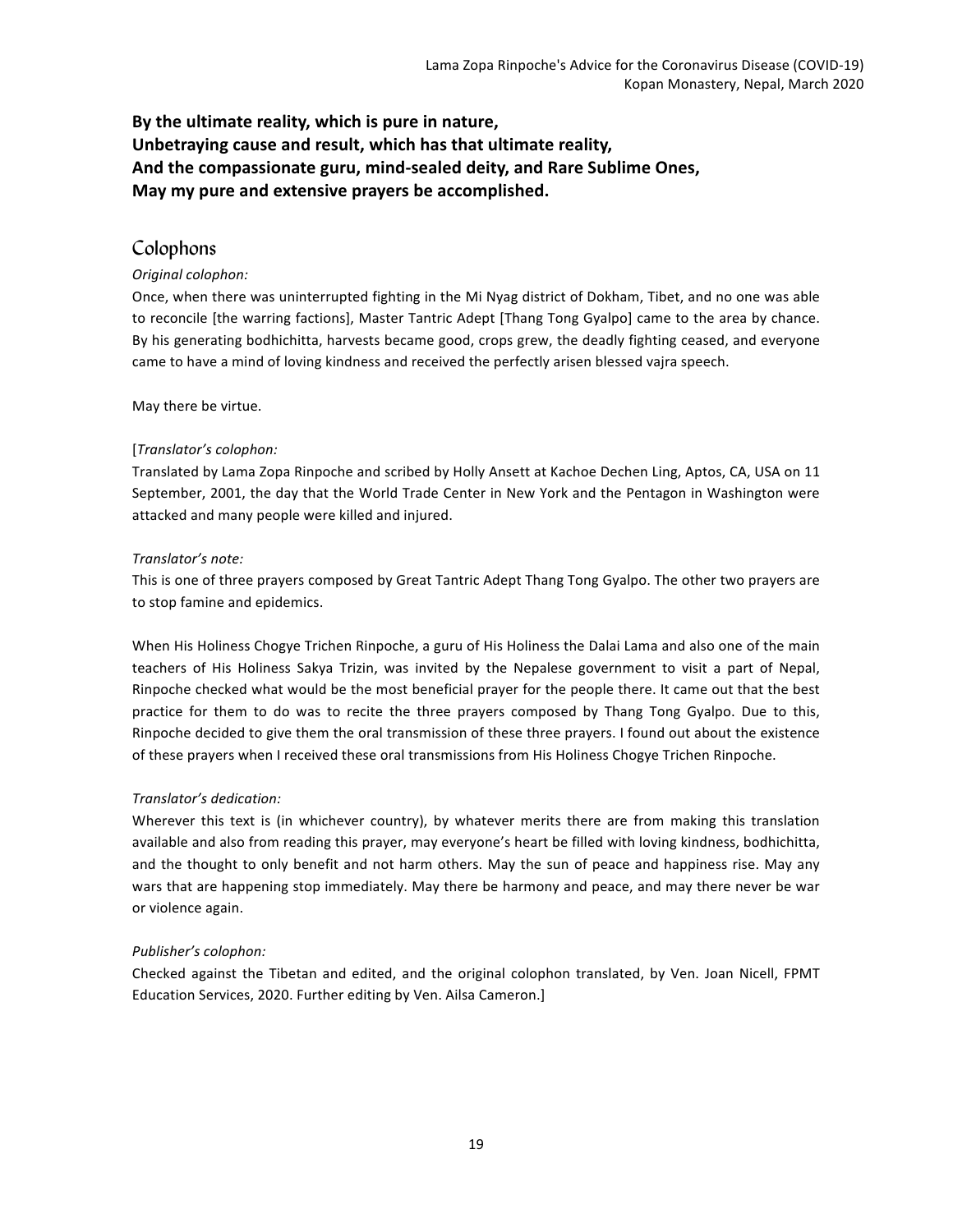#### By the ultimate reality, which is pure in nature. Unbetraying cause and result, which has that ultimate reality, And the compassionate guru, mind-sealed deity, and Rare Sublime Ones, May my pure and extensive prayers be accomplished.

#### Colophons

#### *Original colophon:*

Once, when there was uninterrupted fighting in the Mi Nyag district of Dokham, Tibet, and no one was able to reconcile [the warring factions], Master Tantric Adept [Thang Tong Gyalpo] came to the area by chance. By his generating bodhichitta, harvests became good, crops grew, the deadly fighting ceased, and everyone came to have a mind of loving kindness and received the perfectly arisen blessed vajra speech.

May there be virtue.

#### [*Translator's colophon:*

Translated by Lama Zopa Rinpoche and scribed by Holly Ansett at Kachoe Dechen Ling, Aptos, CA, USA on 11 September, 2001, the day that the World Trade Center in New York and the Pentagon in Washington were attacked and many people were killed and injured.

#### *Translator's note:*

This is one of three prayers composed by Great Tantric Adept Thang Tong Gyalpo. The other two prayers are to stop famine and epidemics.

When His Holiness Chogye Trichen Rinpoche, a guru of His Holiness the Dalai Lama and also one of the main teachers of His Holiness Sakya Trizin, was invited by the Nepalese government to visit a part of Nepal, Rinpoche checked what would be the most beneficial prayer for the people there. It came out that the best practice for them to do was to recite the three prayers composed by Thang Tong Gyalpo. Due to this, Rinpoche decided to give them the oral transmission of these three prayers. I found out about the existence of these prayers when I received these oral transmissions from His Holiness Chogye Trichen Rinpoche.

#### *Translator's dedication:*

Wherever this text is (in whichever country), by whatever merits there are from making this translation available and also from reading this prayer, may everyone's heart be filled with loving kindness, bodhichitta, and the thought to only benefit and not harm others. May the sun of peace and happiness rise. May any wars that are happening stop immediately. May there be harmony and peace, and may there never be war or violence again.

#### **Publisher's colophon:**

Checked against the Tibetan and edited, and the original colophon translated, by Ven. Joan Nicell, FPMT Education Services, 2020. Further editing by Ven. Ailsa Cameron.]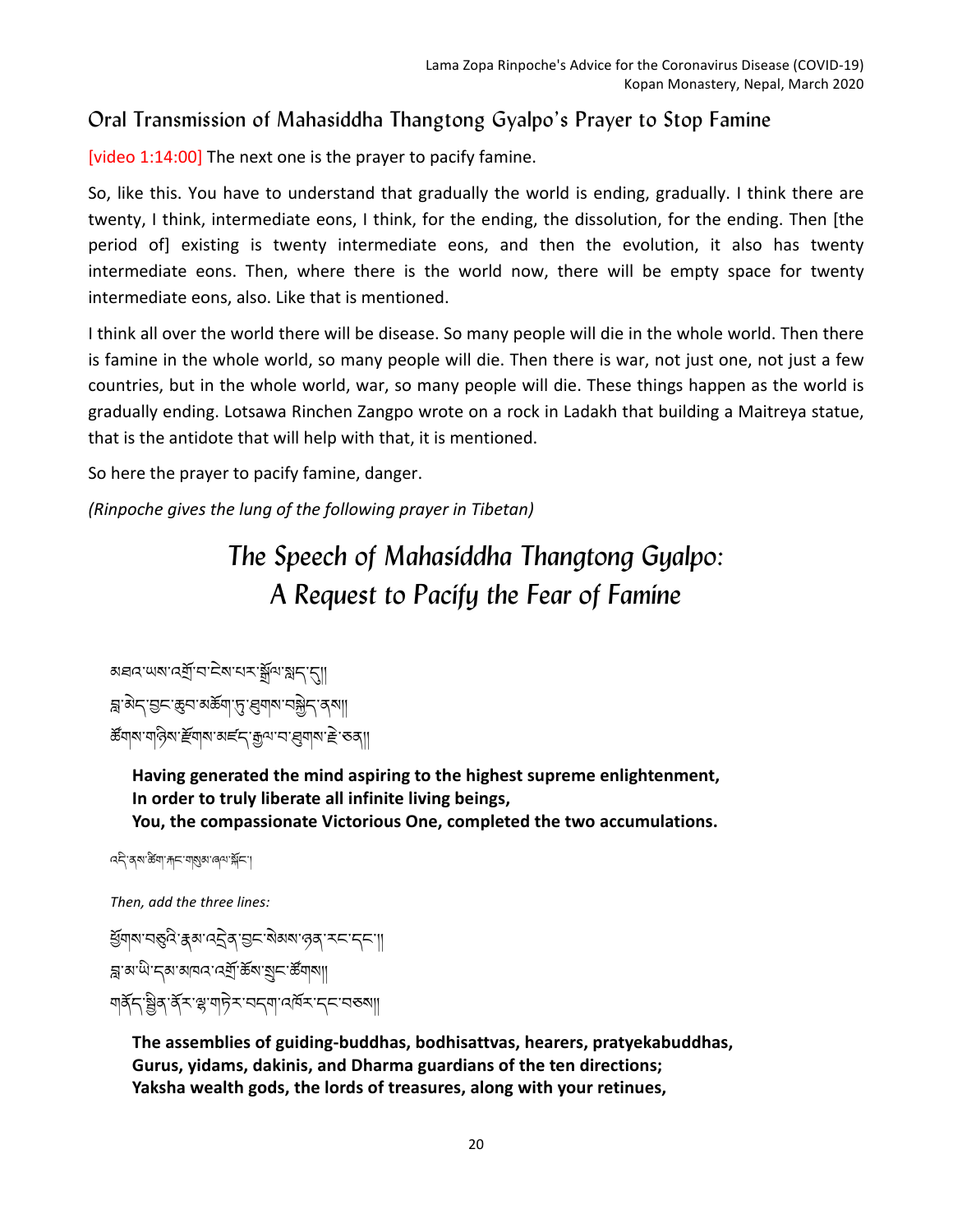# Oral Transmission of Mahasiddha Thangtong Gyalpo's Prayer to Stop Famine

[video 1:14:00] The next one is the prayer to pacify famine.

So, like this. You have to understand that gradually the world is ending, gradually. I think there are twenty, I think, intermediate eons, I think, for the ending, the dissolution, for the ending. Then [the period of] existing is twenty intermediate eons, and then the evolution, it also has twenty intermediate eons. Then, where there is the world now, there will be empty space for twenty intermediate eons, also. Like that is mentioned.

I think all over the world there will be disease. So many people will die in the whole world. Then there is famine in the whole world, so many people will die. Then there is war, not just one, not just a few countries, but in the whole world, war, so many people will die. These things happen as the world is gradually ending. Lotsawa Rinchen Zangpo wrote on a rock in Ladakh that building a Maitreya statue, that is the antidote that will help with that, it is mentioned.

So here the prayer to pacify famine, danger.

*(Rinpoche gives the lung of the following prayer in Tibetan)*

# *The Speech of Mahasiddha Thangtong Gyalpo: A Request to Pacify the Fear of Famine*

མឨ८་ਘས་འརོགོ་བ་ངེས་པར་སྐོལ་སྱད་ད། ন্ন'৯ান্'মুন'জ্ন'মঙ্কল'দ্'শ্ৰ্লাথ'নষ্ট্ৰান'ৰ্মা| ౙౕॺाष याद्रेष हॅबाष अर्ह्म कुष न सुबाष हे रुवा।

Having generated the mind aspiring to the highest supreme enlightenment, In order to truly liberate all infinite living beings, You, the compassionate Victorious One, completed the two accumulations.

५८९ व्याञ्चल क्ष्या अप्ति ।

*Then, add the three lines:*

કુૅગ|રા'નફુતે' કુચ'તર્5ે વ'झून' बेअबा' कुव' रत्ना ন্ন'ঝ'থ'ন্ঝ'ঝানন'নৰ্শ্ৰ'ৰ্জৰ'য়ুন'ৰ্জঁনাৰা|| য়র্ক্র্ন'ষ্ট্র্র'র্ক্স'খ্রাদ্র্র্স'মন্মা নের্ম্স'ন্ন্নেজ্ঞা

**The assemblies of guiding-buddhas, bodhisattvas, hearers, pratyekabuddhas,** Gurus, yidams, dakinis, and Dharma guardians of the ten directions; Yaksha wealth gods, the lords of treasures, along with your retinues,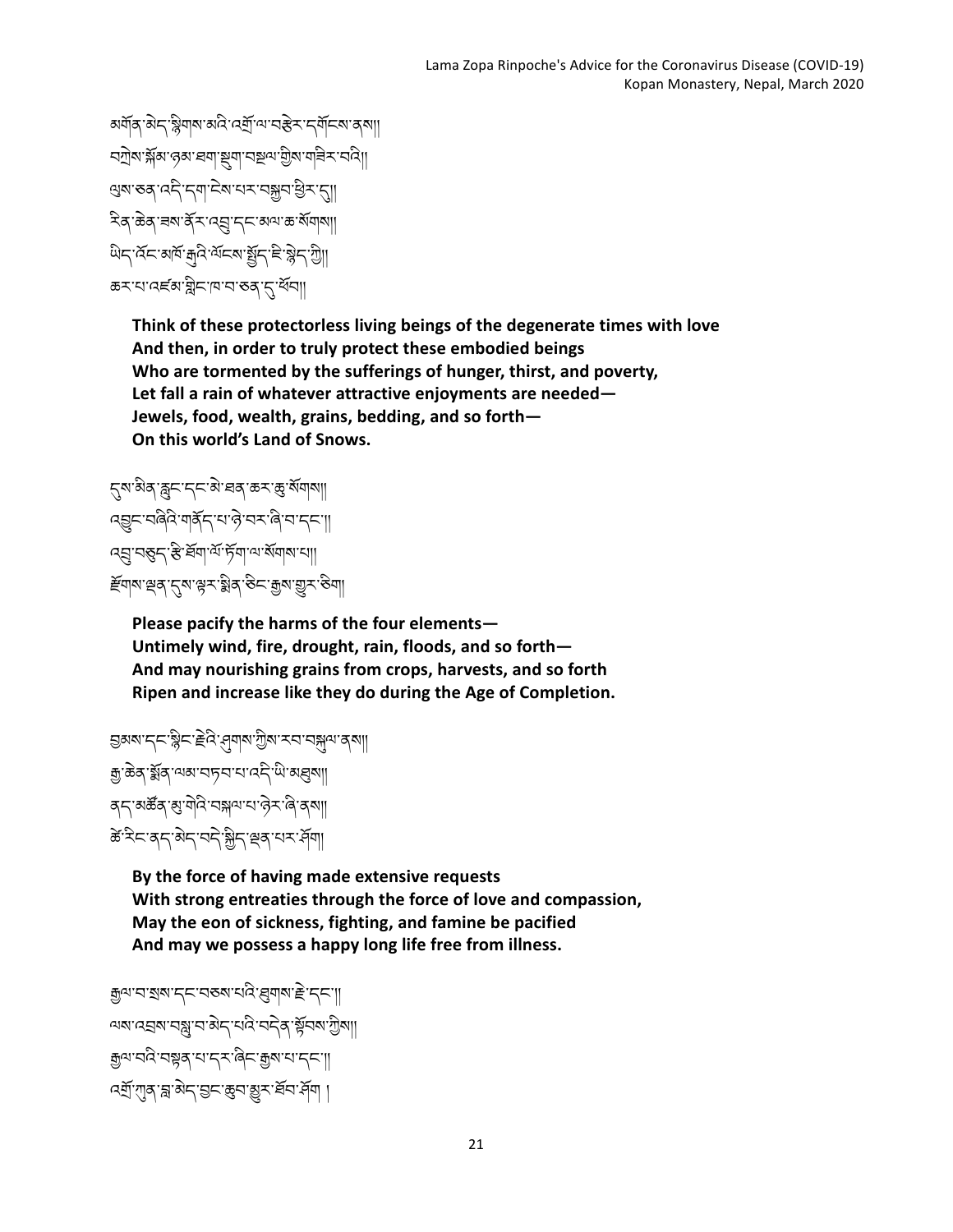```
अমॅ[द'ब्रेन'ञ्लेषाबा'ब्ये' दर्मु''त्या नहेन्द्र 'दर्मेन्ब्य' दब्या।
ঘস্ৰীৰ স্থাৰ উপাৰ্শ কৰি নিৰ্মাণ কৰি আৰু সম্পৰ্
এম'তব'নেই'ন্ন'নিম'ন্সম'স্ক্লন'খ্ৰিম'ন্
২ির্'ক্টর্'র্ম'র্ম্'ব্ম'ন্ম্'ন্ম' ক্র'র্মান্সা
ਘੋ< হৈ অতি ক্ৰমি অন্য মুৰ্ছি জ্লী ।
<u>ಹನ'</u>ಸ'ಇ੬ੱਕਾ'ਸ਼੍ਰੇ|ਨ'|ਧ'ন'তਰ'ਨ'ਖੱਗ||
```
Think of these protectorless living beings of the degenerate times with love And then, in order to truly protect these embodied beings Who are tormented by the sufferings of hunger, thirst, and poverty, Let fall a rain of whatever attractive enjoyments are needed-Jewels, food, wealth, grains, bedding, and so forth-**On this world's Land of Snows.**

```
<u></u><্ৰাজ্য ক্লমাৰ্মাৰ বিদ্যালয় কৰা কৰা হৈছে।
འ°ང་བཞིའི་གནོད་པ་ཉེ་བར་ཞི་བ་དང༌།།
འ་བàད་sི་ཐོག་ལོ་ཏོག་ལ་སོགས་པ།།
<u>ॅ</u>ह्म्बाबाञ्च्ड् स्ट्राञ्चराञ्चेदाञ्च्याञ्चराञ्च्या
```
Please pacify the harms of the four elements-Untimely wind, fire, drought, rain, floods, and so forth-And may nourishing grains from crops, harvests, and so forth Ripen and increase like they do during the Age of Completion.

```
९८४ दिलंडेट हेत्र सेवाल ग्रीथ रत त्र्यान प्रथा।
ক্ৰ'ক্কৰ'ৰ্স্কৰ'অস্তাত অসমৰ অগ্নিকা
ব্দ্'ঝৰ্স্ক্ৰি'ৰ্মুম্ম<sup>া</sup>ম'ন্ট্ৰ'ৰ্মী'।
ཚn་རིང་ནད་མེད་བདེ་Äིད་äན་པར་ཤོག།
```
By the force of having made extensive requests With strong entreaties through the force of love and compassion, May the eon of sickness, fighting, and famine be pacified And may we possess a happy long life free from illness.

```
ক্সিঅর্স্নেশ্রাম্প্রার্থে বিশ্বাপ্রাম্বন্দ্র প্রাথম দি
অম'নহ্ৰম'নগ্ল্ৰ'ন'એন্'নন্দ্ৰীৰ'ৰ্শ্লনম'শ্ৰীমা
ক্সন্মর্মনম্প্রমণ্ড্রাম্পান্দ্রা।
ওর্মু'গ্রাব্'ষ্ট্র'ৱাই'ড্রিব'ইব'র্মুনা ।
```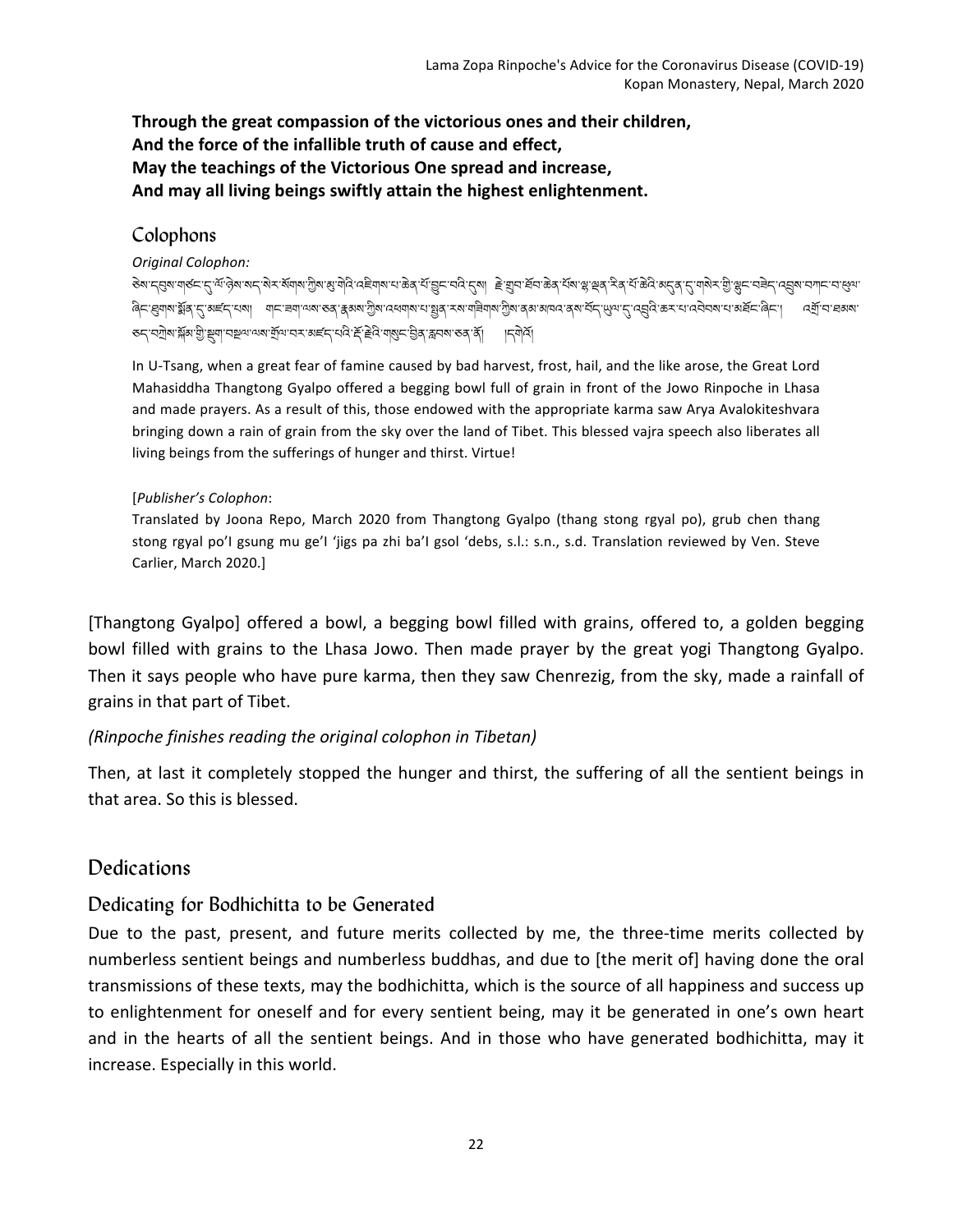**Through the great compassion of the victorious ones and their children.** And the force of the infallible truth of cause and effect, **May the teachings of the Victorious One spread and increase,** And may all living beings swiftly attain the highest enlightenment.

#### Colophons

#### *Original Colophon:*

ङ्गद्धियाद्यस्ट्रिय् क्षेत्राह्यस्था अर्थान् अश्री संस्थानाः कुर्युस्टिन्युः स्थान् स्थान्यः स्थान् अर्थन्यम् अ ཞིང་Üགས་±ོན་0་མཛད་པས། གང་ཟག་ལས་ཅན་ûམས་{ིས་འཕགས་པ་ëན་རས་གཟིགས་{ིས་ནམ་མཁའ་ནས་བོད་¶ལ་0་འའི་ཆར་པ་འབེབས་པ་མཐོང་ཞིང༌། འKོ་བ་ཐམས་ डून नग्रे अंग्लैं अंग्लैं अन्य कार्या अर्था कार्य कार्य कार्य करने के स्थिति । स्वित्री

In U-Tsang, when a great fear of famine caused by bad harvest, frost, hail, and the like arose, the Great Lord Mahasiddha Thangtong Gyalpo offered a begging bowl full of grain in front of the Jowo Rinpoche in Lhasa and made prayers. As a result of this, those endowed with the appropriate karma saw Arya Avalokiteshvara bringing down a rain of grain from the sky over the land of Tibet. This blessed vajra speech also liberates all living beings from the sufferings of hunger and thirst. Virtue!

#### [*Publisher's Colophon*:

Translated by Joona Repo, March 2020 from Thangtong Gyalpo (thang stong rgyal po), grub chen thang stong rgyal po'l gsung mu ge'l 'jigs pa zhi ba'l gsol 'debs, s.l.: s.n., s.d. Translation reviewed by Ven. Steve Carlier, March 2020.]

[Thangtong Gyalpo] offered a bowl, a begging bowl filled with grains, offered to, a golden begging bowl filled with grains to the Lhasa Jowo. Then made prayer by the great yogi Thangtong Gyalpo. Then it says people who have pure karma, then they saw Chenrezig, from the sky, made a rainfall of grains in that part of Tibet.

#### *(Rinpoche finishes reading the original colophon in Tibetan)*

Then, at last it completely stopped the hunger and thirst, the suffering of all the sentient beings in that area. So this is blessed.

## Dedications

## Dedicating for Bodhichitta to be Generated

Due to the past, present, and future merits collected by me, the three-time merits collected by numberless sentient beings and numberless buddhas, and due to [the merit of] having done the oral transmissions of these texts, may the bodhichitta, which is the source of all happiness and success up to enlightenment for oneself and for every sentient being, may it be generated in one's own heart and in the hearts of all the sentient beings. And in those who have generated bodhichitta, may it increase. Especially in this world.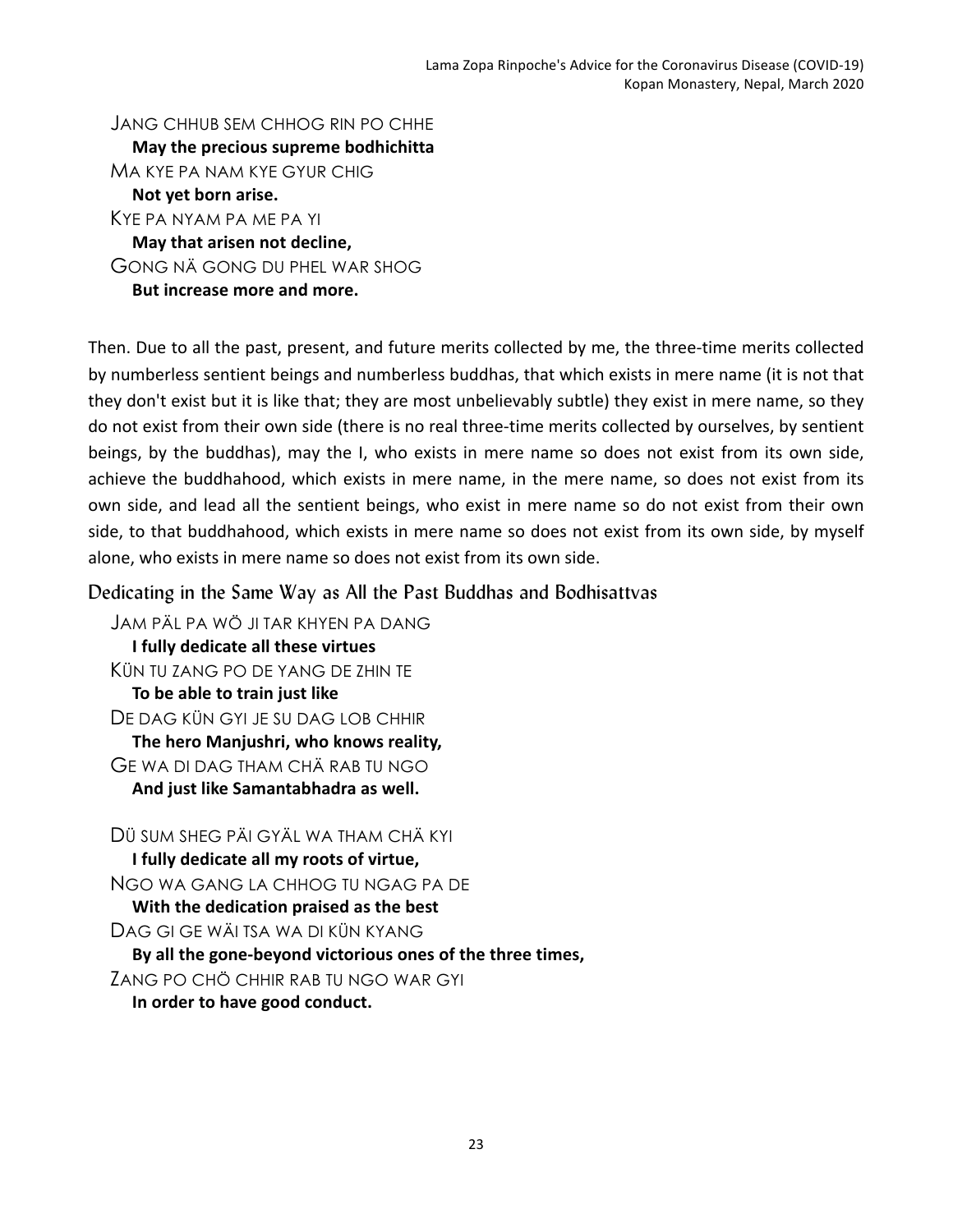JANG CHHUB SEM CHHOG RIN PO CHHE **May the precious supreme bodhichitta** MA KYE PA NAM KYE GYUR CHIG **Not yet born arise.** KYE PA NYAM PA ME PA YI **May that arisen not decline.** GONG NÄ GONG DU PHEL WAR SHOG **But increase more and more.** 

Then. Due to all the past, present, and future merits collected by me, the three-time merits collected by numberless sentient beings and numberless buddhas, that which exists in mere name (it is not that they don't exist but it is like that; they are most unbelievably subtle) they exist in mere name, so they do not exist from their own side (there is no real three-time merits collected by ourselves, by sentient beings, by the buddhas), may the I, who exists in mere name so does not exist from its own side, achieve the buddhahood, which exists in mere name, in the mere name, so does not exist from its own side, and lead all the sentient beings, who exist in mere name so do not exist from their own side, to that buddhahood, which exists in mere name so does not exist from its own side, by myself alone, who exists in mere name so does not exist from its own side.

#### Dedicating in the Same Way as All the Past Buddhas and Bodhisattvas

JAM PÄL PA WÖ JI TAR KHYEN PA DANG **I** fully dedicate all these virtues KÜN TU ZANG PO DE YANG DE ZHIN TE To be able to train just like DE DAG KÜN GYI JE SU DAG LOB CHHIR The hero Manjushri, who knows reality, GE WA DI DAG THAM CHÄ RAB TU NGO And just like Samantabhadra as well.

DÜ SUM SHEG PÄI GYÄL WA THAM CHÄ KYI **I** fully dedicate all my roots of virtue, NGO WA GANG LA CHHOG TU NGAG PA DE **With the dedication praised as the best** DAG GI GE WÄI TSA WA DI KÜN KYANG By all the gone-beyond victorious ones of the three times, ZANG PO CHÖ CHHIR RAB TU NGO WAR GYI In order to have good conduct.